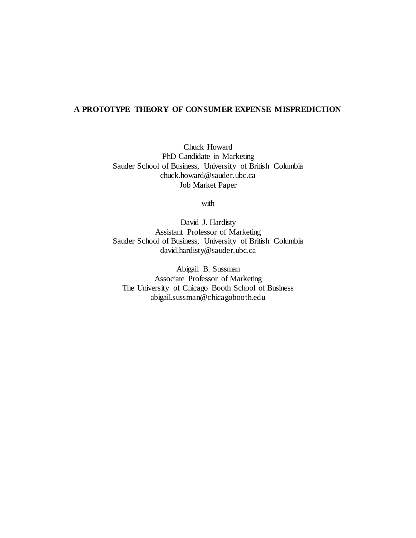# **A PROTOTYPE THEORY OF CONSUMER EXPENSE MISPREDICTION**

Chuck Howard PhD Candidate in Marketing Sauder School of Business, University of British Columbia chuck.howard@sauder.ubc.ca Job Market Paper

with

David J. Hardisty Assistant Professor of Marketing Sauder School of Business, University of British Columbia david.hardisty@sauder.ubc.ca

Abigail B. Sussman Associate Professor of Marketing The University of Chicago Booth School of Business abigail.sussman@chicagobooth.edu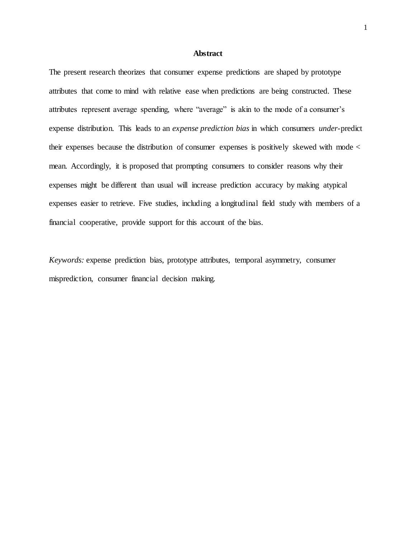## **Abstract**

The present research theorizes that consumer expense predictions are shaped by prototype attributes that come to mind with relative ease when predictions are being constructed. These attributes represent average spending, where "average" is akin to the mode of a consumer's expense distribution. This leads to an *expense prediction bias* in which consumers *under*-predict their expenses because the distribution of consumer expenses is positively skewed with mode < mean. Accordingly, it is proposed that prompting consumers to consider reasons why their expenses might be different than usual will increase prediction accuracy by making atypical expenses easier to retrieve. Five studies, including a longitudinal field study with members of a financial cooperative, provide support for this account of the bias.

*Keywords:* expense prediction bias, prototype attributes, temporal asymmetry, consumer misprediction, consumer financial decision making.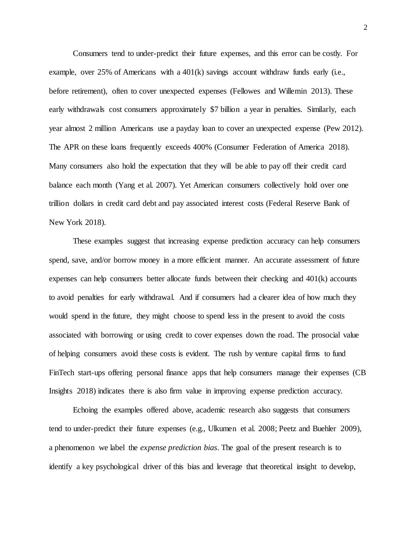Consumers tend to under-predict their future expenses, and this error can be costly. For example, over  $25\%$  of Americans with a  $401(k)$  savings account withdraw funds early (i.e., before retirement), often to cover unexpected expenses (Fellowes and Willemin 2013). These early withdrawals cost consumers approximately \$7 billion a year in penalties. Similarly, each year almost 2 million Americans use a payday loan to cover an unexpected expense (Pew 2012). The APR on these loans frequently exceeds 400% (Consumer Federation of America 2018). Many consumers also hold the expectation that they will be able to pay off their credit card balance each month (Yang et al. 2007). Yet American consumers collectively hold over one trillion dollars in credit card debt and pay associated interest costs (Federal Reserve Bank of New York 2018).

These examples suggest that increasing expense prediction accuracy can help consumers spend, save, and/or borrow money in a more efficient manner. An accurate assessment of future expenses can help consumers better allocate funds between their checking and 401(k) accounts to avoid penalties for early withdrawal. And if consumers had a clearer idea of how much they would spend in the future, they might choose to spend less in the present to avoid the costs associated with borrowing or using credit to cover expenses down the road. The prosocial value of helping consumers avoid these costs is evident. The rush by venture capital firms to fund FinTech start-ups offering personal finance apps that help consumers manage their expenses (CB Insights 2018) indicates there is also firm value in improving expense prediction accuracy.

Echoing the examples offered above, academic research also suggests that consumers tend to under-predict their future expenses (e.g., Ulkumen et al. 2008; Peetz and Buehler 2009), a phenomenon we label the *expense prediction bias*. The goal of the present research is to identify a key psychological driver of this bias and leverage that theoretical insight to develop,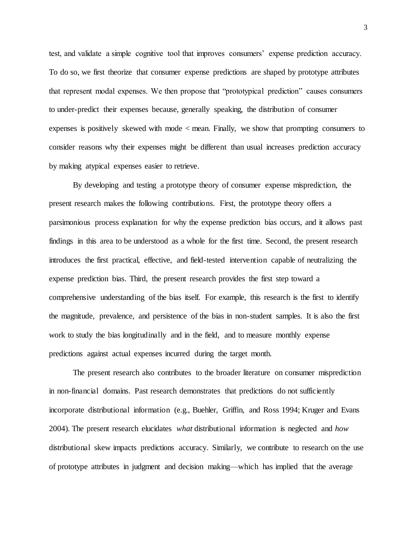test, and validate a simple cognitive tool that improves consumers' expense prediction accuracy. To do so, we first theorize that consumer expense predictions are shaped by prototype attributes that represent modal expenses. We then propose that "prototypical prediction" causes consumers to under-predict their expenses because, generally speaking, the distribution of consumer expenses is positively skewed with mode < mean. Finally, we show that prompting consumers to consider reasons why their expenses might be different than usual increases prediction accuracy by making atypical expenses easier to retrieve.

By developing and testing a prototype theory of consumer expense misprediction, the present research makes the following contributions. First, the prototype theory offers a parsimonious process explanation for why the expense prediction bias occurs, and it allows past findings in this area to be understood as a whole for the first time. Second, the present research introduces the first practical, effective, and field-tested intervention capable of neutralizing the expense prediction bias. Third, the present research provides the first step toward a comprehensive understanding of the bias itself. For example, this research is the first to identify the magnitude, prevalence, and persistence of the bias in non-student samples. It is also the first work to study the bias longitudinally and in the field, and to measure monthly expense predictions against actual expenses incurred during the target month.

The present research also contributes to the broader literature on consumer misprediction in non-financial domains. Past research demonstrates that predictions do not sufficiently incorporate distributional information (e.g., Buehler, Griffin, and Ross 1994; Kruger and Evans 2004). The present research elucidates *what* distributional information is neglected and *how* distributional skew impacts predictions accuracy. Similarly, we contribute to research on the use of prototype attributes in judgment and decision making—which has implied that the average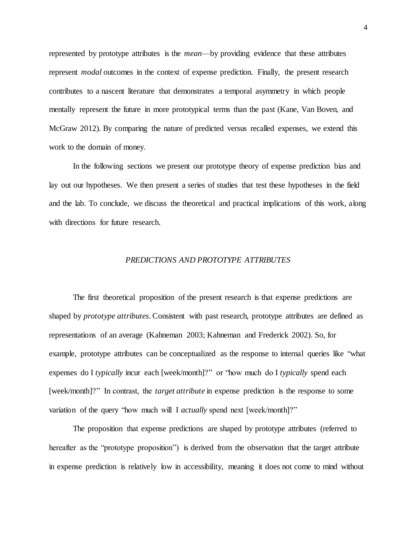represented by prototype attributes is the *mean*—by providing evidence that these attributes represent *modal* outcomes in the context of expense prediction. Finally, the present research contributes to a nascent literature that demonstrates a temporal asymmetry in which people mentally represent the future in more prototypical terms than the past (Kane, Van Boven, and McGraw 2012). By comparing the nature of predicted versus recalled expenses, we extend this work to the domain of money.

In the following sections we present our prototype theory of expense prediction bias and lay out our hypotheses. We then present a series of studies that test these hypotheses in the field and the lab. To conclude, we discuss the theoretical and practical implications of this work, along with directions for future research.

## *PREDICTIONS AND PROTOTYPE ATTRIBUTES*

The first theoretical proposition of the present research is that expense predictions are shaped by *prototype attributes*. Consistent with past research, prototype attributes are defined as representations of an average (Kahneman 2003; Kahneman and Frederick 2002). So, for example, prototype attributes can be conceptualized as the response to internal queries like "what expenses do I *typically* incur each [week/month]?" or "how much do I *typically* spend each [week/month]?" In contrast, the *target attribute* in expense prediction is the response to some variation of the query "how much will I *actually* spend next [week/month]?"

The proposition that expense predictions are shaped by prototype attributes (referred to hereafter as the "prototype proposition") is derived from the observation that the target attribute in expense prediction is relatively low in accessibility, meaning it does not come to mind without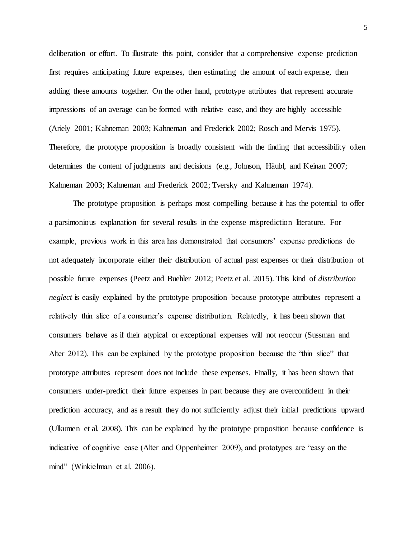deliberation or effort. To illustrate this point, consider that a comprehensive expense prediction first requires anticipating future expenses, then estimating the amount of each expense, then adding these amounts together. On the other hand, prototype attributes that represent accurate impressions of an average can be formed with relative ease, and they are highly accessible (Ariely 2001; Kahneman 2003; Kahneman and Frederick 2002; Rosch and Mervis 1975). Therefore, the prototype proposition is broadly consistent with the finding that accessibility often determines the content of judgments and decisions (e.g., Johnson, Häubl, and Keinan 2007; Kahneman 2003; Kahneman and Frederick 2002; Tversky and Kahneman 1974).

The prototype proposition is perhaps most compelling because it has the potential to offer a parsimonious explanation for several results in the expense misprediction literature. For example, previous work in this area has demonstrated that consumers' expense predictions do not adequately incorporate either their distribution of actual past expenses or their distribution of possible future expenses (Peetz and Buehler 2012; Peetz et al. 2015). This kind of *distribution neglect* is easily explained by the prototype proposition because prototype attributes represent a relatively thin slice of a consumer's expense distribution. Relatedly, it has been shown that consumers behave as if their atypical or exceptional expenses will not reoccur (Sussman and Alter 2012). This can be explained by the prototype proposition because the "thin slice" that prototype attributes represent does not include these expenses. Finally, it has been shown that consumers under-predict their future expenses in part because they are overconfident in their prediction accuracy, and as a result they do not sufficiently adjust their initial predictions upward (Ulkumen et al. 2008). This can be explained by the prototype proposition because confidence is indicative of cognitive ease (Alter and Oppenheimer 2009), and prototypes are "easy on the mind" (Winkielman et al. 2006).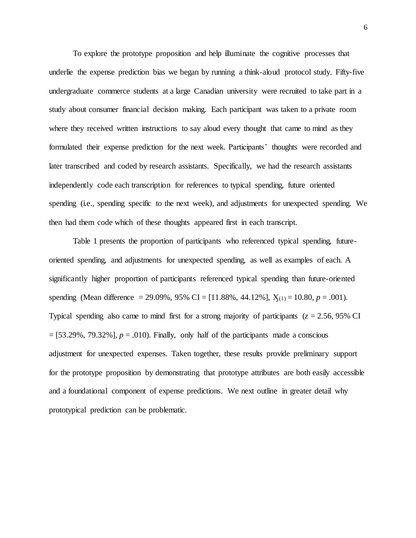To explore the prototype proposition and help illuminate the cognitive processes that underlie the expense prediction bias we began by running a think-aloud protocol study. Fifty-five undergraduate commerce students at a large Canadian university were recruited to take part in a study about consumer financial decision making. Each participant was taken to a private room where they received written instructions to say aloud every thought that came to mind as they formulated their expense prediction for the next week. Participants' thoughts were recorded and later transcribed and coded by research assistants. Specifically, we had the research assistants independently code each transcription for references to typical spending, future oriented spending (i.e., spending specific to the next week), and adjustments for unexpected spending. We then had them code which of these thoughts appeared first in each transcript.

Table 1 presents the proportion of participants who referenced typical spending, futureoriented spending, and adjustments for unexpected spending, as well as examples of each. A significantly higher proportion of participants referenced typical spending than future-oriented spending (Mean difference = 29.09%, 95% CI = [11.88%, 44.12%],  $X_{(1)} = 10.80$ ,  $p = .001$ ). Typical spending also came to mind first for a strong majority of participants (*z* = 2.56, 95% CI  $=[53.29\%, 79.32\%]$ ,  $p = .010$ ). Finally, only half of the participants made a conscious adjustment for unexpected expenses. Taken together, these results provide preliminary support for the prototype proposition by demonstrating that prototype attributes are both easily accessible and a foundational component of expense predictions. We next outline in greater detail why prototypical prediction can be problematic.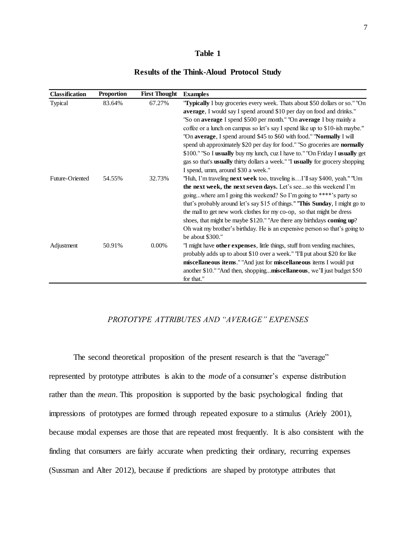## **Table 1**

## **Results of the Think-Aloud Protocol Study**

| <b>Classification</b> | <b>Proportion</b> | <b>First Thought</b> | <b>Examples</b>                                                                   |
|-----------------------|-------------------|----------------------|-----------------------------------------------------------------------------------|
| Typical               | 83.64%            | 67.27%               | "Typically I buy groceries every week. Thats about \$50 dollars or so." "On       |
|                       |                   |                      | average, I would say I spend around \$10 per day on food and drinks."             |
|                       |                   |                      | "So on average I spend \$500 per month." "On average I buy mainly a               |
|                       |                   |                      | coffee or a lunch on campus so let's say I spend like up to \$10-ish maybe."      |
|                       |                   |                      | "On average, I spend around \$45 to \$60 with food." "Normally I will             |
|                       |                   |                      | spend uh approximately \$20 per day for food." "So groceries are <b>normally</b>  |
|                       |                   |                      | \$100." "So I usually buy my lunch, cuz I have to." "On Friday I usually get      |
|                       |                   |                      | gas so that's usually thirty dollars a week." "I usually for grocery shopping     |
|                       |                   |                      | I spend, umm, around \$30 a week."                                                |
| Future-Oriented       | 54.55%            | 32.73%               | "Huh, I'm traveling <b>next week</b> too, traveling isI'll say \$400, yeah." "Um  |
|                       |                   |                      | the next week, the next seven days. Let's seeso this weekend I'm                  |
|                       |                   |                      | goingwhere am I going this weekend? So I'm going to ****'s party so               |
|                       |                   |                      | that's probably around let's say \$15 of things." "This Sunday, I might go to     |
|                       |                   |                      | the mall to get new work clothes for my co-op, so that might be dress             |
|                       |                   |                      | shoes, that might be maybe \$120." "Are there any birthdays coming up?            |
|                       |                   |                      | Oh wait my brother's birthday. He is an expensive person so that's going to       |
|                       |                   |                      | be about \$300."                                                                  |
| Adjustment            | 50.91%            | 0.00%                | "I might have <b>other expenses</b> , little things, stuff from vending machines, |
|                       |                   |                      | probably adds up to about \$10 over a week." "I'll put about \$20 for like        |
|                       |                   |                      | miscellaneous items." "And just for miscellaneous items I would put               |
|                       |                   |                      | another \$10." "And then, shoppingmiscellaneous, we'll just budget \$50           |
|                       |                   |                      | for that."                                                                        |

## *PROTOTYPE ATTRIBUTES AND "AVERAGE" EXPENSES*

The second theoretical proposition of the present research is that the "average" represented by prototype attributes is akin to the *mode* of a consumer's expense distribution rather than the *mean*. This proposition is supported by the basic psychological finding that impressions of prototypes are formed through repeated exposure to a stimulus (Ariely 2001), because modal expenses are those that are repeated most frequently. It is also consistent with the finding that consumers are fairly accurate when predicting their ordinary, recurring expenses (Sussman and Alter 2012), because if predictions are shaped by prototype attributes that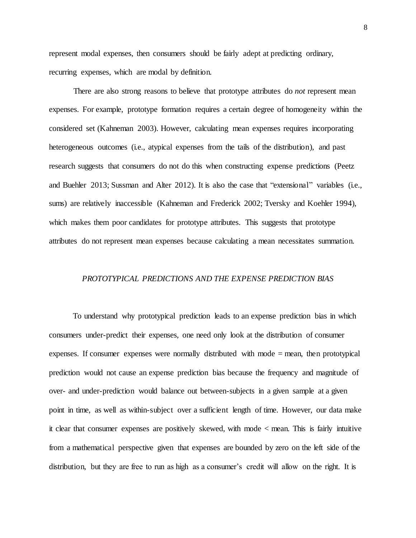represent modal expenses, then consumers should be fairly adept at predicting ordinary, recurring expenses, which are modal by definition.

There are also strong reasons to believe that prototype attributes do *not* represent mean expenses. For example, prototype formation requires a certain degree of homogeneity within the considered set (Kahneman 2003). However, calculating mean expenses requires incorporating heterogeneous outcomes (i.e., atypical expenses from the tails of the distribution), and past research suggests that consumers do not do this when constructing expense predictions (Peetz and Buehler 2013; Sussman and Alter 2012). It is also the case that "extensional" variables (i.e., sums) are relatively inaccessible (Kahneman and Frederick 2002; Tversky and Koehler 1994), which makes them poor candidates for prototype attributes. This suggests that prototype attributes do not represent mean expenses because calculating a mean necessitates summation.

## *PROTOTYPICAL PREDICTIONS AND THE EXPENSE PREDICTION BIAS*

To understand why prototypical prediction leads to an expense prediction bias in which consumers under-predict their expenses, one need only look at the distribution of consumer expenses. If consumer expenses were normally distributed with mode  $=$  mean, then prototypical prediction would not cause an expense prediction bias because the frequency and magnitude of over- and under-prediction would balance out between-subjects in a given sample at a given point in time, as well as within-subject over a sufficient length of time. However, our data make it clear that consumer expenses are positively skewed, with mode < mean. This is fairly intuitive from a mathematical perspective given that expenses are bounded by zero on the left side of the distribution, but they are free to run as high as a consumer's credit will allow on the right. It is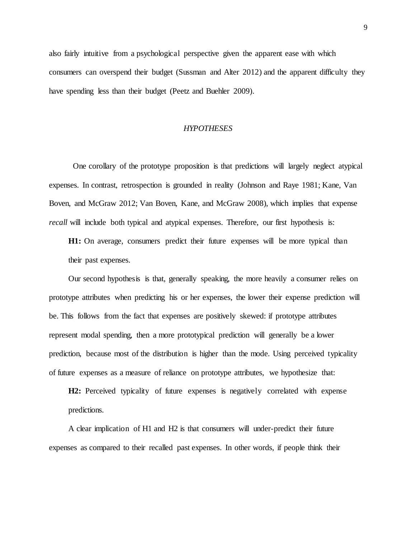also fairly intuitive from a psychological perspective given the apparent ease with which consumers can overspend their budget (Sussman and Alter 2012) and the apparent difficulty they have spending less than their budget (Peetz and Buehler 2009).

## *HYPOTHESES*

One corollary of the prototype proposition is that predictions will largely neglect atypical expenses. In contrast, retrospection is grounded in reality (Johnson and Raye 1981; Kane, Van Boven, and McGraw 2012; Van Boven, Kane, and McGraw 2008), which implies that expense *recall* will include both typical and atypical expenses. Therefore, our first hypothesis is:

**H1:** On average, consumers predict their future expenses will be more typical than their past expenses.

Our second hypothesis is that, generally speaking, the more heavily a consumer relies on prototype attributes when predicting his or her expenses, the lower their expense prediction will be. This follows from the fact that expenses are positively skewed: if prototype attributes represent modal spending, then a more prototypical prediction will generally be a lower prediction, because most of the distribution is higher than the mode. Using perceived typicality of future expenses as a measure of reliance on prototype attributes, we hypothesize that:

**H2:** Perceived typicality of future expenses is negatively correlated with expense predictions.

A clear implication of H1 and H2 is that consumers will under-predict their future expenses as compared to their recalled past expenses. In other words, if people think their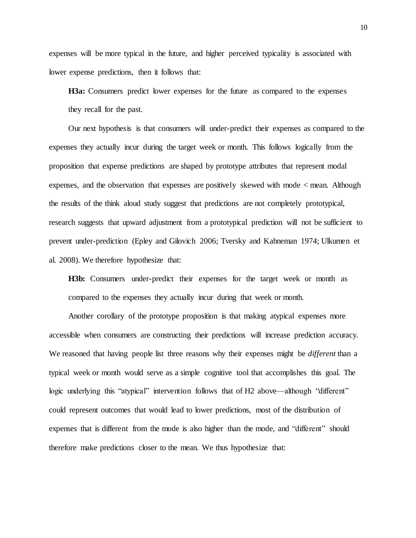expenses will be more typical in the future, and higher perceived typicality is associated with lower expense predictions, then it follows that:

**H3a:** Consumers predict lower expenses for the future as compared to the expenses they recall for the past.

Our next hypothesis is that consumers will under-predict their expenses as compared to the expenses they actually incur during the target week or month. This follows logically from the proposition that expense predictions are shaped by prototype attributes that represent modal expenses, and the observation that expenses are positively skewed with mode < mean. Although the results of the think aloud study suggest that predictions are not completely prototypical, research suggests that upward adjustment from a prototypical prediction will not be sufficient to prevent under-prediction (Epley and Gilovich 2006; Tversky and Kahneman 1974; Ulkumen et al. 2008). We therefore hypothesize that:

H3b: Consumers under-predict their expenses for the target week or month as compared to the expenses they actually incur during that week or month.

Another corollary of the prototype proposition is that making atypical expenses more accessible when consumers are constructing their predictions will increase prediction accuracy. We reasoned that having people list three reasons why their expenses might be *different* than a typical week or month would serve as a simple cognitive tool that accomplishes this goal. The logic underlying this "atypical" intervention follows that of H2 above—although "different" could represent outcomes that would lead to lower predictions, most of the distribution of expenses that is different from the mode is also higher than the mode, and "different" should therefore make predictions closer to the mean. We thus hypothesize that: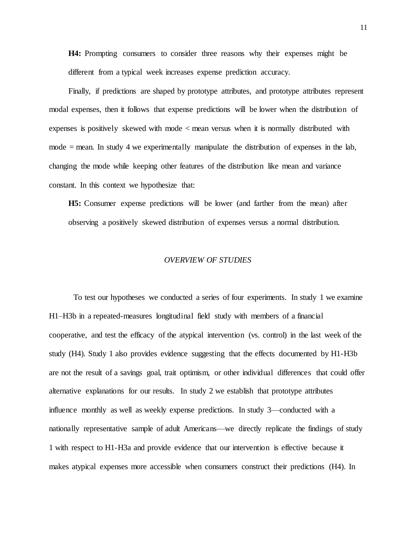**H4:** Prompting consumers to consider three reasons why their expenses might be different from a typical week increases expense prediction accuracy.

Finally, if predictions are shaped by prototype attributes, and prototype attributes represent modal expenses, then it follows that expense predictions will be lower when the distribution of expenses is positively skewed with mode < mean versus when it is normally distributed with mode = mean. In study 4 we experimentally manipulate the distribution of expenses in the lab, changing the mode while keeping other features of the distribution like mean and variance constant. In this context we hypothesize that:

**H5:** Consumer expense predictions will be lower (and farther from the mean) after observing a positively skewed distribution of expenses versus a normal distribution.

## *OVERVIEW OF STUDIES*

To test our hypotheses we conducted a series of four experiments. In study 1 we examine H1–H3b in a repeated-measures longitudinal field study with members of a financial cooperative, and test the efficacy of the atypical intervention (vs. control) in the last week of the study (H4). Study 1 also provides evidence suggesting that the effects documented by H1-H3b are not the result of a savings goal, trait optimism, or other individual differences that could offer alternative explanations for our results. In study 2 we establish that prototype attributes influence monthly as well as weekly expense predictions. In study 3—conducted with a nationally representative sample of adult Americans—we directly replicate the findings of study 1 with respect to H1-H3a and provide evidence that our intervention is effective because it makes atypical expenses more accessible when consumers construct their predictions (H4). In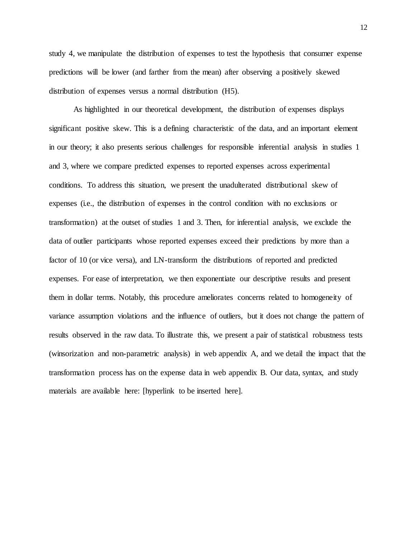study 4, we manipulate the distribution of expenses to test the hypothesis that consumer expense predictions will be lower (and farther from the mean) after observing a positively skewed distribution of expenses versus a normal distribution (H5).

As highlighted in our theoretical development, the distribution of expenses displays significant positive skew. This is a defining characteristic of the data, and an important element in our theory; it also presents serious challenges for responsible inferential analysis in studies 1 and 3, where we compare predicted expenses to reported expenses across experimental conditions. To address this situation, we present the unadulterated distributional skew of expenses (i.e., the distribution of expenses in the control condition with no exclusions or transformation) at the outset of studies 1 and 3. Then, for inferential analysis, we exclude the data of outlier participants whose reported expenses exceed their predictions by more than a factor of 10 (or vice versa), and LN-transform the distributions of reported and predicted expenses. For ease of interpretation, we then exponentiate our descriptive results and present them in dollar terms. Notably, this procedure ameliorates concerns related to homogeneity of variance assumption violations and the influence of outliers, but it does not change the pattern of results observed in the raw data. To illustrate this, we present a pair of statistical robustness tests (winsorization and non-parametric analysis) in web appendix A, and we detail the impact that the transformation process has on the expense data in web appendix B. Our data, syntax, and study materials are available here: [hyperlink to be inserted here].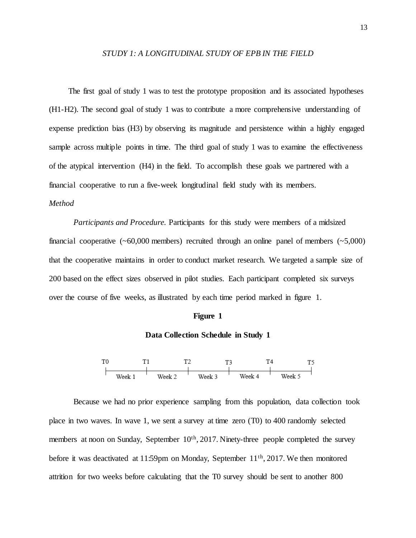### *STUDY 1: A LONGITUDINAL STUDY OF EPB IN THE FIELD*

The first goal of study 1 was to test the prototype proposition and its associated hypotheses (H1-H2). The second goal of study 1 was to contribute a more comprehensive understanding of expense prediction bias (H3) by observing its magnitude and persistence within a highly engaged sample across multiple points in time. The third goal of study 1 was to examine the effectiveness of the atypical intervention (H4) in the field. To accomplish these goals we partnered with a financial cooperative to run a five-week longitudinal field study with its members. *Method* 

*Participants and Procedure.* Participants for this study were members of a midsized financial cooperative  $(\sim 60,000$  members) recruited through an online panel of members  $(\sim 5,000)$ that the cooperative maintains in order to conduct market research. We targeted a sample size of 200 based on the effect sizes observed in pilot studies. Each participant completed six surveys over the course of five weeks, as illustrated by each time period marked in figure 1.

### **Figure 1**

### **Data Collection Schedule in Study 1**



Because we had no prior experience sampling from this population, data collection took place in two waves. In wave 1, we sent a survey at time zero (T0) to 400 randomly selected members at noon on Sunday, September 10<sup>th</sup>, 2017. Ninety-three people completed the survey before it was deactivated at 11:59pm on Monday, September 11<sup>th</sup>, 2017. We then monitored attrition for two weeks before calculating that the T0 survey should be sent to another 800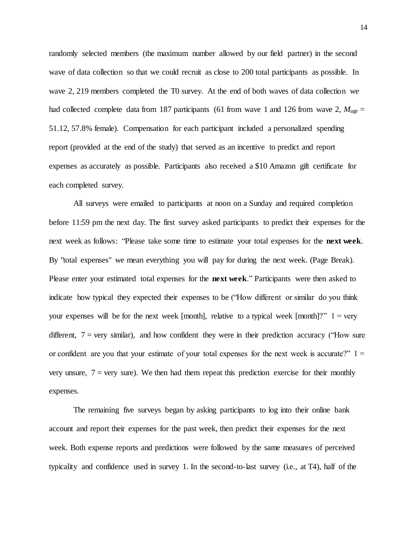randomly selected members (the maximum number allowed by our field partner) in the second wave of data collection so that we could recruit as close to 200 total participants as possible. In wave 2, 219 members completed the T0 survey. At the end of both waves of data collection we had collected complete data from 187 participants (61 from wave 1 and 126 from wave 2,  $M_{\text{age}} =$ 51.12, 57.8% female). Compensation for each participant included a personalized spending report (provided at the end of the study) that served as an incentive to predict and report expenses as accurately as possible. Participants also received a \$10 Amazon gift certificate for each completed survey.

All surveys were emailed to participants at noon on a Sunday and required completion before 11:59 pm the next day. The first survey asked participants to predict their expenses for the next week as follows: "Please take some time to estimate your total expenses for the **next week**. By "total expenses" we mean everything you will pay for during the next week. (Page Break). Please enter your estimated total expenses for the **next week**." Participants were then asked to indicate how typical they expected their expenses to be ("How different or similar do you think your expenses will be for the next week [month], relative to a typical week [month]?"  $1 = \text{very}$ different,  $7 = \text{very similar}$ , and how confident they were in their prediction accuracy ("How sure or confident are you that your estimate of your total expenses for the next week is accurate?"  $1 =$ very unsure,  $7 = \text{very sure}$ ). We then had them repeat this prediction exercise for their monthly expenses.

The remaining five surveys began by asking participants to log into their online bank account and report their expenses for the past week, then predict their expenses for the next week. Both expense reports and predictions were followed by the same measures of perceived typicality and confidence used in survey 1. In the second-to-last survey (i.e., at T4), half of the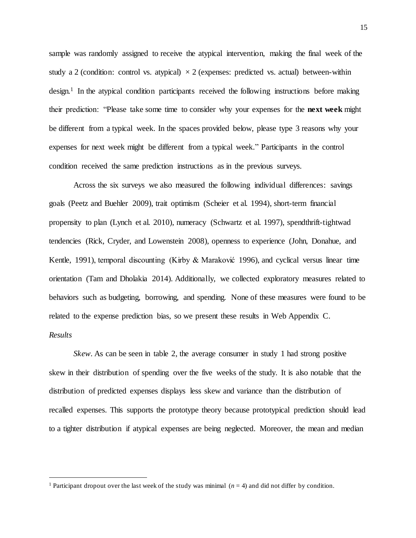sample was randomly assigned to receive the atypical intervention, making the final week of the study a 2 (condition: control vs. atypical)  $\times$  2 (expenses: predicted vs. actual) between-within design.<sup>1</sup> In the atypical condition participants received the following instructions before making their prediction: "Please take some time to consider why your expenses for the **next week** might be different from a typical week. In the spaces provided below, please type 3 reasons why your expenses for next week might be different from a typical week." Participants in the control condition received the same prediction instructions as in the previous surveys.

Across the six surveys we also measured the following individual differences: savings goals (Peetz and Buehler 2009), trait optimism (Scheier et al. 1994), short-term financial propensity to plan (Lynch et al. 2010), numeracy (Schwartz et al. 1997), spendthrift-tightwad tendencies (Rick, Cryder, and Lowenstein 2008), openness to experience (John, Donahue, and Kentle, 1991), temporal discounting (Kirby & Maraković 1996), and cyclical versus linear time orientation (Tam and Dholakia 2014). Additionally, we collected exploratory measures related to behaviors such as budgeting, borrowing, and spending. None of these measures were found to be related to the expense prediction bias, so we present these results in Web Appendix C. *Results*

*Skew.* As can be seen in table 2, the average consumer in study 1 had strong positive skew in their distribution of spending over the five weeks of the study. It is also notable that the distribution of predicted expenses displays less skew and variance than the distribution of recalled expenses. This supports the prototype theory because prototypical prediction should lead to a tighter distribution if atypical expenses are being neglected. Moreover, the mean and median

 $\ddot{\phantom{a}}$ 

<sup>&</sup>lt;sup>1</sup> Participant dropout over the last week of the study was minimal  $(n = 4)$  and did not differ by condition.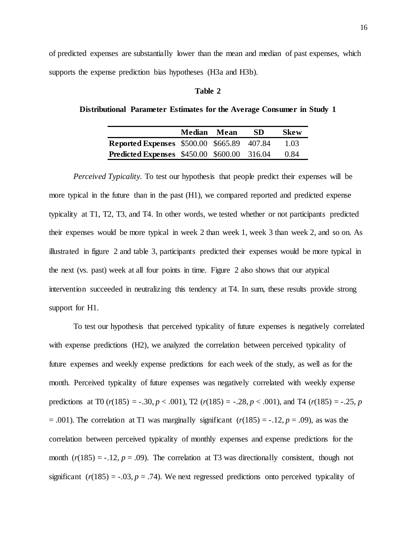of predicted expenses are substantially lower than the mean and median of past expenses, which supports the expense prediction bias hypotheses (H3a and H3b).

# **Table 2**

## **Distributional Parameter Estimates for the Average Consumer in Study 1**

|                                                    | Median Mean | SD | <b>Skew</b> |
|----------------------------------------------------|-------------|----|-------------|
| <b>Reported Expenses</b> \$500.00 \$665.89 407.84  |             |    | 1.03        |
| <b>Predicted Expenses</b> \$450.00 \$600.00 316.04 |             |    | 0.84        |

*Perceived Typicality.* To test our hypothesis that people predict their expenses will be more typical in the future than in the past (H1), we compared reported and predicted expense typicality at T1, T2, T3, and T4. In other words, we tested whether or not participants predicted their expenses would be more typical in week 2 than week 1, week 3 than week 2, and so on. As illustrated in figure 2 and table 3, participants predicted their expenses would be more typical in the next (vs. past) week at all four points in time. Figure 2 also shows that our atypical intervention succeeded in neutralizing this tendency at T4. In sum, these results provide strong support for H1.

To test our hypothesis that perceived typicality of future expenses is negatively correlated with expense predictions (H2), we analyzed the correlation between perceived typicality of future expenses and weekly expense predictions for each week of the study, as well as for the month. Perceived typicality of future expenses was negatively correlated with weekly expense predictions at T0 ( $r(185) = -.30, p < .001$ ), T2 ( $r(185) = -.28, p < .001$ ), and T4 ( $r(185) = -.25, p$  $= .001$ ). The correlation at T1 was marginally significant ( $r(185) = -.12$ ,  $p = .09$ ), as was the correlation between perceived typicality of monthly expenses and expense predictions for the month  $(r(185) = -.12, p = .09)$ . The correlation at T3 was directionally consistent, though not significant  $(r(185) = -.03, p = .74)$ . We next regressed predictions onto perceived typicality of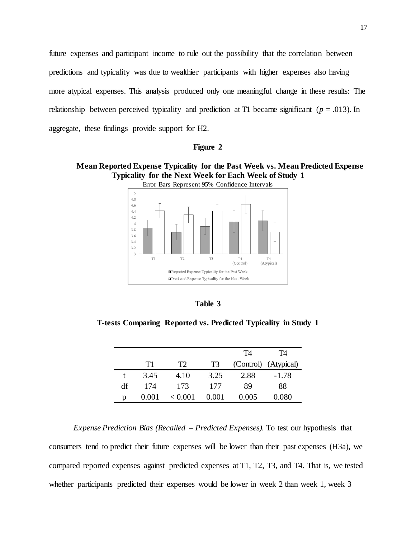future expenses and participant income to rule out the possibility that the correlation between predictions and typicality was due to wealthier participants with higher expenses also having more atypical expenses. This analysis produced only one meaningful change in these results: The relationship between perceived typicality and prediction at T1 became significant (*p* = .013). In aggregate, these findings provide support for H2.

### **Figure 2**

# **Mean Reported Expense Typicality for the Past Week vs. Mean Predicted Expense Typicality for the Next Week for Each Week of Study 1**



| anı<br>l6 |  |
|-----------|--|
|-----------|--|

**T-tests Comparing Reported vs. Predicted Typicality in Study 1**

|    |      |         |                | T4    | Τ4                   |
|----|------|---------|----------------|-------|----------------------|
|    | T1   | T2      | T <sub>3</sub> |       | (Control) (Atypical) |
|    | 3.45 | 4.10    | 3.25           | 2.88  | $-1.78$              |
| df | 174  | 173     | 177            | 89    | 88                   |
| n  |      | < 0.001 |                | 0.005 | 0.080                |

*Expense Prediction Bias (Recalled – Predicted Expenses).* To test our hypothesis that consumers tend to predict their future expenses will be lower than their past expenses (H3a), we compared reported expenses against predicted expenses at T1, T2, T3, and T4. That is, we tested whether participants predicted their expenses would be lower in week 2 than week 1, week 3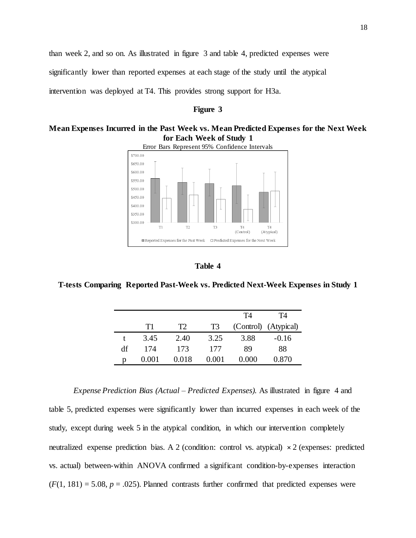than week 2, and so on. As illustrated in figure 3 and table 4, predicted expenses were significantly lower than reported expenses at each stage of the study until the atypical intervention was deployed at T4. This provides strong support for H3a.

## **Figure 3**

# **Mean Expenses Incurred in the Past Week vs. Mean Predicted Expenses for the Next Week for Each Week of Study 1**



## **Table 4**

## **T-tests Comparing Reported Past-Week vs. Predicted Next-Week Expenses in Study 1**

|    |       |       |       | Т4    | T4                   |
|----|-------|-------|-------|-------|----------------------|
|    | T1    | T2    | T3    |       | (Control) (Atypical) |
| t  | 3.45  | 2.40  | 3.25  | 3.88  | $-0.16$              |
| df | 174   | 173   | 177   | 89    | 88                   |
| p  | 0.001 | 0.018 | 0.001 | 0.000 | 0.870                |

*Expense Prediction Bias (Actual – Predicted Expenses).* As illustrated in figure 4 and table 5, predicted expenses were significantly lower than incurred expenses in each week of the study, except during week 5 in the atypical condition, in which our intervention completely neutralized expense prediction bias. A 2 (condition: control vs. atypical)  $\times$  2 (expenses: predicted vs. actual) between-within ANOVA confirmed a significant condition-by-expenses interaction  $(F(1, 181) = 5.08, p = .025)$ . Planned contrasts further confirmed that predicted expenses were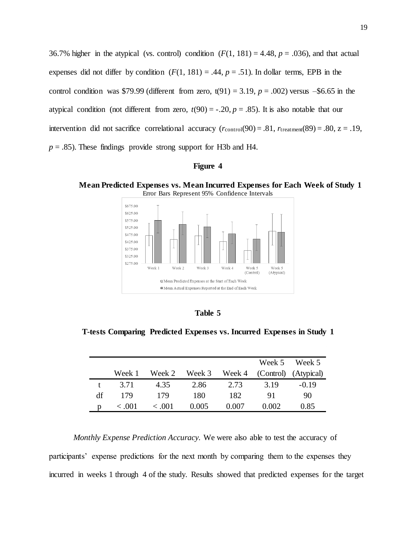36.7% higher in the atypical (vs. control) condition  $(F(1, 181) = 4.48, p = .036)$ , and that actual expenses did not differ by condition  $(F(1, 181) = .44, p = .51)$ . In dollar terms, EPB in the control condition was \$79.99 (different from zero,  $t(91) = 3.19$ ,  $p = .002$ ) versus  $-$ \$6.65 in the atypical condition (not different from zero,  $t(90) = -.20$ ,  $p = .85$ ). It is also notable that our intervention did not sacrifice correlational accuracy  $(r_{control}(90) = .81, r_{treatment}(89) = .80, z = .19,$  $p = .85$ ). These findings provide strong support for H3b and H4.

| ч.<br>וווסו |  |
|-------------|--|
|-------------|--|

**Mean Predicted Expenses vs. Mean Incurred Expenses for Each Week of Study 1** Error Bars Represent 95% Confidence Intervals



| an<br>۱ |  |
|---------|--|
|---------|--|

**T-tests Comparing Predicted Expenses vs. Incurred Expenses in Study 1**

|    |        |        |        |       |                             | Week 5 Week 5 |
|----|--------|--------|--------|-------|-----------------------------|---------------|
|    | Week 1 | Week 2 | Week 3 |       | Week 4 (Control) (Atypical) |               |
|    | 3.71   | 4.35   | 2.86   | 2.73  | 3.19                        | $-0.19$       |
| df | 179    | 179    | 180    | 182   | 91                          | 90            |
|    | 0.001  | 0.001  | 0.005  | 0.007 | 0.002                       | 0.85          |

*Monthly Expense Prediction Accuracy.* We were also able to test the accuracy of participants' expense predictions for the next month by comparing them to the expenses they incurred in weeks 1 through 4 of the study. Results showed that predicted expenses for the target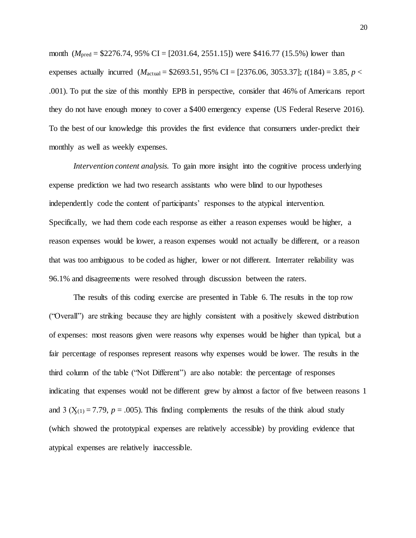month (*M*pred = \$2276.74, 95% CI = [2031.64, 2551.15]) were \$416.77 (15.5%) lower than expenses actually incurred  $(M_{\text{actual}} = $2693.51, 95\% \text{ CI} = [2376.06, 3053.37]; t(184) = 3.85, p <$ .001). To put the size of this monthly EPB in perspective, consider that 46% of Americans report they do not have enough money to cover a \$400 emergency expense (US Federal Reserve 2016). To the best of our knowledge this provides the first evidence that consumers under-predict their monthly as well as weekly expenses.

*Intervention content analysis.* To gain more insight into the cognitive process underlying expense prediction we had two research assistants who were blind to our hypotheses independently code the content of participants' responses to the atypical intervention. Specifically, we had them code each response as either a reason expenses would be higher, a reason expenses would be lower, a reason expenses would not actually be different, or a reason that was too ambiguous to be coded as higher, lower or not different. Interrater reliability was 96.1% and disagreements were resolved through discussion between the raters.

The results of this coding exercise are presented in Table 6. The results in the top row ("Overall") are striking because they are highly consistent with a positively skewed distribution of expenses: most reasons given were reasons why expenses would be higher than typical, but a fair percentage of responses represent reasons why expenses would be lower. The results in the third column of the table ("Not Different") are also notable: the percentage of responses indicating that expenses would not be different grew by almost a factor of five between reasons 1 and 3 ( $X_{(1)} = 7.79$ ,  $p = .005$ ). This finding complements the results of the think aloud study (which showed the prototypical expenses are relatively accessible) by providing evidence that atypical expenses are relatively inaccessible.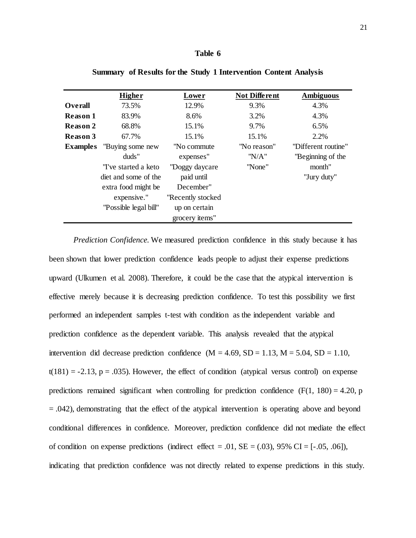### **Table 6**

|                 | <b>Higher</b>         | Lower             | <b>Not Different</b> | <b>Ambiguous</b>    |
|-----------------|-----------------------|-------------------|----------------------|---------------------|
| <b>Overall</b>  | 73.5%                 | 12.9%             | 9.3%                 | 4.3%                |
| Reason 1        | 83.9%                 | 8.6%              | 3.2%                 | 4.3%                |
| <b>Reason 2</b> | 68.8%                 | 15.1%             | 9.7%                 | 6.5%                |
| <b>Reason 3</b> | 67.7%                 | 15.1%             | 15.1%                | 2.2%                |
| <b>Examples</b> | "Buying some new      | "No commute"      | "No reason"          | "Different routine" |
|                 | duds"                 | expenses"         | "NA"                 | "Beginning of the   |
|                 | "I've started a keto  | "Doggy daycare"   | "None"               | month"              |
|                 | diet and some of the  | paid until        |                      | "Jury duty"         |
|                 | extra food might be   | December"         |                      |                     |
|                 | expensive."           | "Recently stocked |                      |                     |
|                 | "Possible legal bill" | up on certain     |                      |                     |
|                 |                       | grocery items"    |                      |                     |

**Summary of Results for the Study 1 Intervention Content Analysis**

*Prediction Confidence.* We measured prediction confidence in this study because it has been shown that lower prediction confidence leads people to adjust their expense predictions upward (Ulkumen et al. 2008). Therefore, it could be the case that the atypical intervention is effective merely because it is decreasing prediction confidence. To test this possibility we first performed an independent samples t-test with condition as the independent variable and prediction confidence as the dependent variable. This analysis revealed that the atypical intervention did decrease prediction confidence  $(M = 4.69, SD = 1.13, M = 5.04, SD = 1.10,$  $t(181) = -2.13$ ,  $p = .035$ ). However, the effect of condition (atypical versus control) on expense predictions remained significant when controlling for prediction confidence  $(F(1, 180) = 4.20, p)$ = .042), demonstrating that the effect of the atypical intervention is operating above and beyond conditional differences in confidence. Moreover, prediction confidence did not mediate the effect of condition on expense predictions (indirect effect = .01,  $SE = (.03)$ , 95% CI = [-.05, .06]), indicating that prediction confidence was not directly related to expense predictions in this study.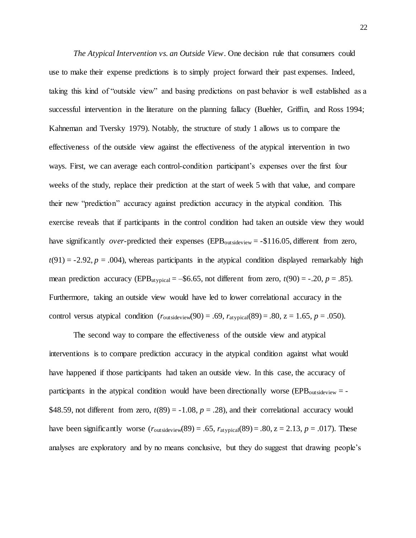*The Atypical Intervention vs. an Outside View*. One decision rule that consumers could use to make their expense predictions is to simply project forward their past expenses. Indeed, taking this kind of "outside view" and basing predictions on past behavior is well established as a successful intervention in the literature on the planning fallacy (Buehler, Griffin, and Ross 1994; Kahneman and Tversky 1979). Notably, the structure of study 1 allows us to compare the effectiveness of the outside view against the effectiveness of the atypical intervention in two ways. First, we can average each control-condition participant's expenses over the first four weeks of the study, replace their prediction at the start of week 5 with that value, and compare their new "prediction" accuracy against prediction accuracy in the atypical condition. This exercise reveals that if participants in the control condition had taken an outside view they would have significantly *over*-predicted their expenses (EPB<sub>outsideview</sub> = -\$116.05, different from zero,  $t(91) = -2.92$ ,  $p = .004$ ), whereas participants in the atypical condition displayed remarkably high mean prediction accuracy (EPB<sub>atypical</sub> = –\$6.65, not different from zero,  $t(90)$  = -.20,  $p = .85$ ). Furthermore, taking an outside view would have led to lower correlational accuracy in the control versus atypical condition  $(r_{\text{outsideview}}(90) = .69, r_{\text{atypical}}(89) = .80, z = 1.65, p = .050)$ .

The second way to compare the effectiveness of the outside view and atypical interventions is to compare prediction accuracy in the atypical condition against what would have happened if those participants had taken an outside view. In this case, the accuracy of participants in the atypical condition would have been directionally worse (EPB<sub>outsideview</sub>  $=$  -\$48.59, not different from zero,  $t(89) = -1.08$ ,  $p = .28$ ), and their correlational accuracy would have been significantly worse  $(r_{\text{outsideview}}(89) = .65, r_{\text{atypical}}(89) = .80, z = 2.13, p = .017)$ . These analyses are exploratory and by no means conclusive, but they do suggest that drawing people's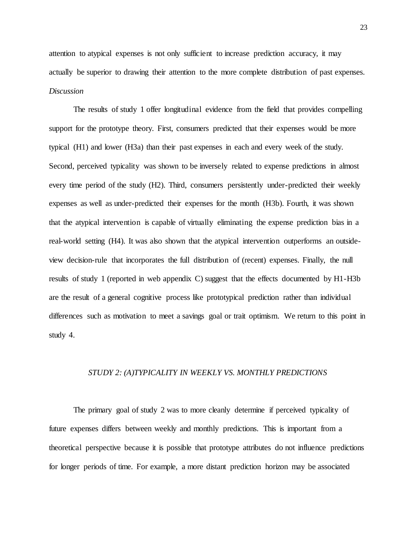attention to atypical expenses is not only sufficient to increase prediction accuracy, it may actually be superior to drawing their attention to the more complete distribution of past expenses. *Discussion*

The results of study 1 offer longitudinal evidence from the field that provides compelling support for the prototype theory. First, consumers predicted that their expenses would be more typical (H1) and lower (H3a) than their past expenses in each and every week of the study. Second, perceived typicality was shown to be inversely related to expense predictions in almost every time period of the study (H2). Third, consumers persistently under-predicted their weekly expenses as well as under-predicted their expenses for the month (H3b). Fourth, it was shown that the atypical intervention is capable of virtually eliminating the expense prediction bias in a real-world setting (H4). It was also shown that the atypical intervention outperforms an outsideview decision-rule that incorporates the full distribution of (recent) expenses. Finally, the null results of study 1 (reported in web appendix C) suggest that the effects documented by H1-H3b are the result of a general cognitive process like prototypical prediction rather than individual differences such as motivation to meet a savings goal or trait optimism. We return to this point in study 4.

#### *STUDY 2: (A)TYPICALITY IN WEEKLY VS. MONTHLY PREDICTIONS*

The primary goal of study 2 was to more cleanly determine if perceived typicality of future expenses differs between weekly and monthly predictions. This is important from a theoretical perspective because it is possible that prototype attributes do not influence predictions for longer periods of time. For example, a more distant prediction horizon may be associated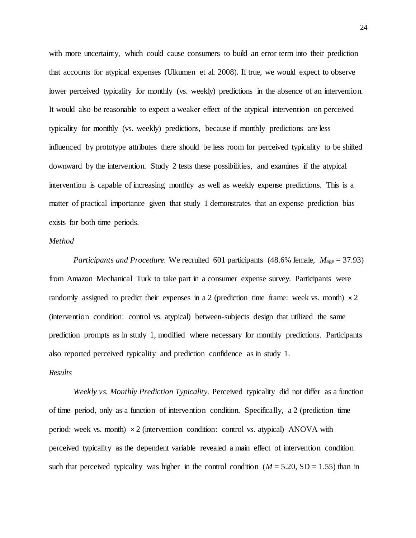with more uncertainty, which could cause consumers to build an error term into their prediction that accounts for atypical expenses (Ulkumen et al. 2008). If true, we would expect to observe lower perceived typicality for monthly (vs. weekly) predictions in the absence of an intervention. It would also be reasonable to expect a weaker effect of the atypical intervention on perceived typicality for monthly (vs. weekly) predictions, because if monthly predictions are less influenced by prototype attributes there should be less room for perceived typicality to be shifted downward by the intervention. Study 2 tests these possibilities, and examines if the atypical intervention is capable of increasing monthly as well as weekly expense predictions. This is a matter of practical importance given that study 1 demonstrates that an expense prediction bias exists for both time periods.

## *Method*

*Participants and Procedure.* We recruited 601 participants (48.6% female,  $M_{\text{age}} = 37.93$ ) from Amazon Mechanical Turk to take part in a consumer expense survey. Participants were randomly assigned to predict their expenses in a 2 (prediction time frame: week vs. month)  $\times$  2 (intervention condition: control vs. atypical) between-subjects design that utilized the same prediction prompts as in study 1, modified where necessary for monthly predictions. Participants also reported perceived typicality and prediction confidence as in study 1.

# *Results*

*Weekly vs. Monthly Prediction Typicality.* Perceived typicality did not differ as a function of time period, only as a function of intervention condition. Specifically, a 2 (prediction time period: week vs. month)  $\times$  2 (intervention condition: control vs. atypical) ANOVA with perceived typicality as the dependent variable revealed a main effect of intervention condition such that perceived typicality was higher in the control condition  $(M = 5.20, SD = 1.55)$  than in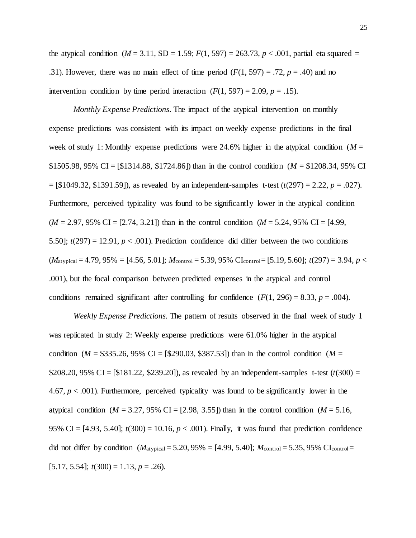the atypical condition  $(M = 3.11, SD = 1.59; F(1, 597) = 263.73, p < .001$ , partial eta squared = .31). However, there was no main effect of time period  $(F(1, 597) = .72, p = .40)$  and no intervention condition by time period interaction  $(F(1, 597) = 2.09, p = .15)$ .

*Monthly Expense Predictions*. The impact of the atypical intervention on monthly expense predictions was consistent with its impact on weekly expense predictions in the final week of study 1: Monthly expense predictions were 24.6% higher in the atypical condition ( $M =$ \$1505.98, 95% CI = [\$1314.88, \$1724.86]) than in the control condition (*M* = \$1208.34, 95% CI  $=$  [\$1049.32, \$1391.59]), as revealed by an independent-samples t-test ( $t(297) = 2.22$ ,  $p = .027$ ). Furthermore, perceived typicality was found to be significantly lower in the atypical condition  $(M = 2.97, 95\% \text{ CI} = [2.74, 3.21])$  than in the control condition  $(M = 5.24, 95\% \text{ CI} = [4.99,$ 5.50];  $t(297) = 12.91$ ,  $p < .001$ ). Prediction confidence did differ between the two conditions  $(M_{\text{atypical}} = 4.79, 95\% = [4.56, 5.01];$   $M_{\text{control}} = 5.39, 95\%$  CI<sub>control</sub> = [5.19, 5.60];  $t(297) = 3.94, p <$ .001), but the focal comparison between predicted expenses in the atypical and control conditions remained significant after controlling for confidence  $(F(1, 296) = 8.33, p = .004)$ .

*Weekly Expense Predictions.* The pattern of results observed in the final week of study 1 was replicated in study 2: Weekly expense predictions were 61.0% higher in the atypical condition ( $M = $335.26, 95\%$  CI = [\$290.03, \$387.53]) than in the control condition ( $M =$ \$208.20,  $95\%$  CI = [\$181.22, \$239.20]), as revealed by an independent-samples t-test ( $t(300)$  = 4.67,  $p < .001$ ). Furthermore, perceived typicality was found to be significantly lower in the atypical condition ( $M = 3.27, 95\%$  CI = [2.98, 3.55]) than in the control condition ( $M = 5.16$ , 95% CI =  $[4.93, 5.40]$ ;  $t(300) = 10.16$ ,  $p < .001$ ). Finally, it was found that prediction confidence did not differ by condition  $(M_{\text{atypical}} = 5.20, 95\% = [4.99, 5.40]; M_{\text{control}} = 5.35, 95\% \text{ Cl}_{\text{control}} =$  $[5.17, 5.54]$ ;  $t(300) = 1.13$ ,  $p = .26$ ).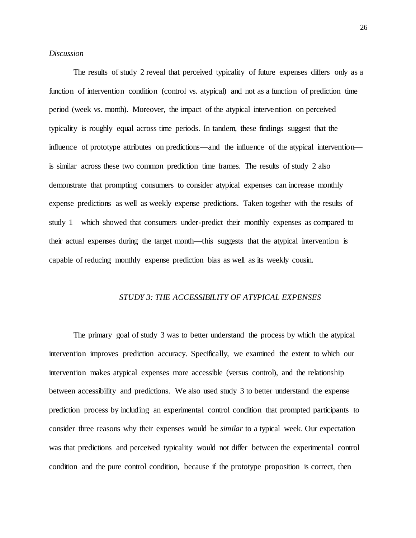## *Discussion*

The results of study 2 reveal that perceived typicality of future expenses differs only as a function of intervention condition (control vs. atypical) and not as a function of prediction time period (week vs. month). Moreover, the impact of the atypical intervention on perceived typicality is roughly equal across time periods. In tandem, these findings suggest that the influence of prototype attributes on predictions—and the influence of the atypical intervention is similar across these two common prediction time frames. The results of study 2 also demonstrate that prompting consumers to consider atypical expenses can increase monthly expense predictions as well as weekly expense predictions. Taken together with the results of study 1—which showed that consumers under-predict their monthly expenses as compared to their actual expenses during the target month—this suggests that the atypical intervention is capable of reducing monthly expense prediction bias as well as its weekly cousin.

## *STUDY 3: THE ACCESSIBILITY OF ATYPICAL EXPENSES*

The primary goal of study 3 was to better understand the process by which the atypical intervention improves prediction accuracy. Specifically, we examined the extent to which our intervention makes atypical expenses more accessible (versus control), and the relationship between accessibility and predictions. We also used study 3 to better understand the expense prediction process by including an experimental control condition that prompted participants to consider three reasons why their expenses would be *similar* to a typical week. Our expectation was that predictions and perceived typicality would not differ between the experimental control condition and the pure control condition, because if the prototype proposition is correct, then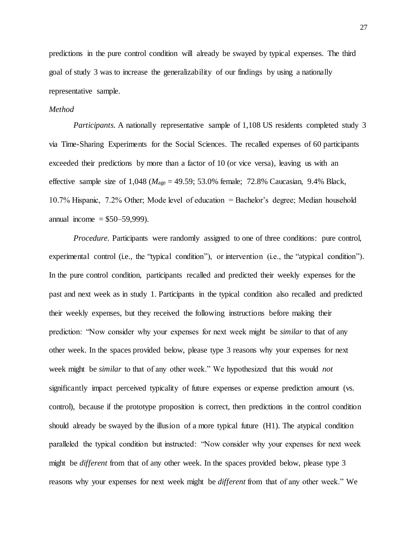predictions in the pure control condition will already be swayed by typical expenses. The third goal of study 3 was to increase the generalizability of our findings by using a nationally representative sample.

## *Method*

*Participants.* A nationally representative sample of 1,108 US residents completed study 3 via Time-Sharing Experiments for the Social Sciences. The recalled expenses of 60 participants exceeded their predictions by more than a factor of 10 (or vice versa), leaving us with an effective sample size of  $1,048$  ( $M_{\text{age}} = 49.59$ ; 53.0% female; 72.8% Caucasian, 9.4% Black, 10.7% Hispanic, 7.2% Other; Mode level of education = Bachelor's degree; Median household annual income =  $$50-59,999$ ).

*Procedure.* Participants were randomly assigned to one of three conditions: pure control, experimental control (i.e., the "typical condition"), or intervention (i.e., the "atypical condition"). In the pure control condition, participants recalled and predicted their weekly expenses for the past and next week as in study 1. Participants in the typical condition also recalled and predicted their weekly expenses, but they received the following instructions before making their prediction: "Now consider why your expenses for next week might be *similar* to that of any other week. In the spaces provided below, please type 3 reasons why your expenses for next week might be *similar* to that of any other week." We hypothesized that this would *not* significantly impact perceived typicality of future expenses or expense prediction amount (vs. control), because if the prototype proposition is correct, then predictions in the control condition should already be swayed by the illusion of a more typical future (H1). The atypical condition paralleled the typical condition but instructed: "Now consider why your expenses for next week might be *different* from that of any other week. In the spaces provided below, please type 3 reasons why your expenses for next week might be *different* from that of any other week." We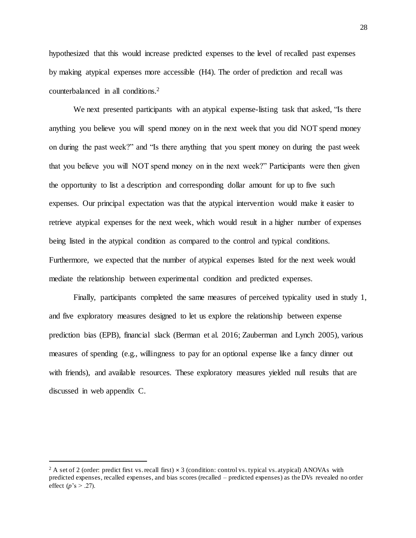hypothesized that this would increase predicted expenses to the level of recalled past expenses by making atypical expenses more accessible (H4). The order of prediction and recall was counterbalanced in all conditions.<sup>2</sup>

We next presented participants with an atypical expense-listing task that asked, "Is there anything you believe you will spend money on in the next week that you did NOT spend money on during the past week?" and "Is there anything that you spent money on during the past week that you believe you will NOT spend money on in the next week?" Participants were then given the opportunity to list a description and corresponding dollar amount for up to five such expenses. Our principal expectation was that the atypical intervention would make it easier to retrieve atypical expenses for the next week, which would result in a higher number of expenses being listed in the atypical condition as compared to the control and typical conditions. Furthermore, we expected that the number of atypical expenses listed for the next week would mediate the relationship between experimental condition and predicted expenses.

Finally, participants completed the same measures of perceived typicality used in study 1, and five exploratory measures designed to let us explore the relationship between expense prediction bias (EPB), financial slack (Berman et al. 2016; Zauberman and Lynch 2005), various measures of spending (e.g., willingness to pay for an optional expense like a fancy dinner out with friends), and available resources. These exploratory measures yielded null results that are discussed in web appendix C.

 $\ddot{\phantom{a}}$ 

<sup>&</sup>lt;sup>2</sup> A set of 2 (order: predict first vs. recall first)  $\times$  3 (condition: control vs. typical vs. atypical) ANOVAs with predicted expenses, recalled expenses, and bias scores (recalled – predicted expenses) as the DVs revealed no order effect (*p*'s  $> .27$ ).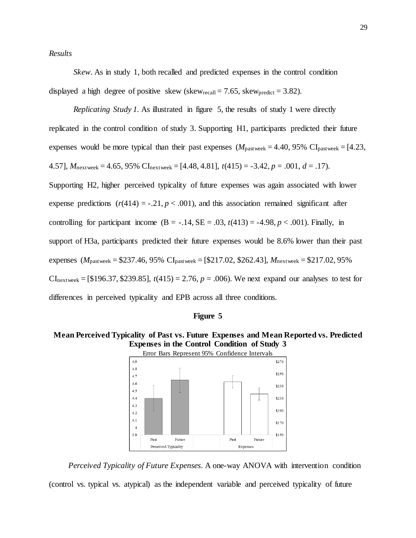*Results* 

*Skew.* As in study 1, both recalled and predicted expenses in the control condition displayed a high degree of positive skew (skew<sub>recall</sub> = 7.65, skew<sub>predict</sub> = 3.82).

*Replicating Study 1.* As illustrated in figure 5, the results of study 1 were directly replicated in the control condition of study 3. Supporting H1, participants predicted their future expenses would be more typical than their past expenses  $(M_{\text{pastweek}} = 4.40, 95\% \text{ CI}_{\text{pastweek}} = [4.23, 1.0]$ 4.57],  $M_{\text{nextweek}} = 4.65$ , 95% CI<sub>nextweek</sub> = [4.48, 4.81],  $t(415) = -3.42$ ,  $p = .001$ ,  $d = .17$ . Supporting H2, higher perceived typicality of future expenses was again associated with lower expense predictions  $(r(414) = -.21, p < .001)$ , and this association remained significant after controlling for participant income  $(B = -.14, SE = .03, t(413) = -4.98, p < .001)$ . Finally, in support of H3a, participants predicted their future expenses would be 8.6% lower than their past expenses (*M*pastweek = \$237.46, 95% CIpastweek = [\$217.02, \$262.43], *M*nextweek = \$217.02, 95%  $CI_{\text{nextweek}} = [\$196.37, \$239.85], t(415) = 2.76, p = .006$ . We next expand our analyses to test for differences in perceived typicality and EPB across all three conditions.



**Mean Perceived Typicality of Past vs. Future Expenses and Mean Reported vs. Predicted Expenses in the Control Condition of Study 3**



*Perceived Typicality of Future Expenses*. A one-way ANOVA with intervention condition

(control vs. typical vs. atypical) as the independent variable and perceived typicality of future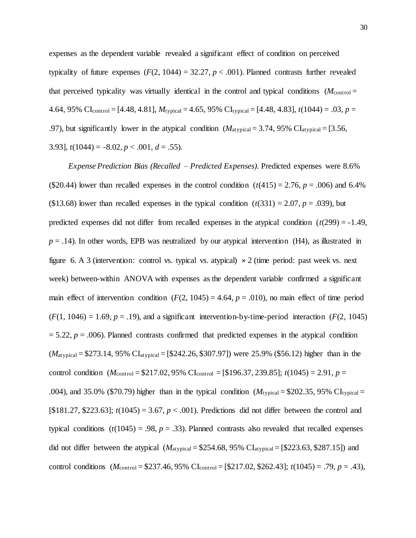expenses as the dependent variable revealed a significant effect of condition on perceived typicality of future expenses  $(F(2, 1044) = 32.27, p < .001)$ . Planned contrasts further revealed that perceived typicality was virtually identical in the control and typical conditions  $(M_{\text{control}} =$ 4.64, 95% CI<sub>control</sub> =  $[4.48, 4.81]$ ,  $M_{typical} = 4.65, 95\%$  CI<sub>typical</sub> =  $[4.48, 4.83]$ ,  $t(1044) = .03$ ,  $p =$ .97), but significantly lower in the atypical condition (*M*atypical = 3.74, 95% CIatypical = [3.56, 3.93],  $t(1044) = -8.02, p < .001, d = .55$ ).

*Expense Prediction Bias (Recalled – Predicted Expenses)*. Predicted expenses were 8.6% (\$20.44) lower than recalled expenses in the control condition  $(t(415) = 2.76, p = .006)$  and 6.4% (\$13.68) lower than recalled expenses in the typical condition  $(t(331) = 2.07, p = .039)$ , but predicted expenses did not differ from recalled expenses in the atypical condition  $(t(299) = -1.49$ ,  $p = .14$ ). In other words, EPB was neutralized by our atypical intervention (H4), as illustrated in figure 6. A 3 (intervention: control vs. typical vs. atypical)  $\times$  2 (time period: past week vs. next week) between-within ANOVA with expenses as the dependent variable confirmed a significant main effect of intervention condition  $(F(2, 1045) = 4.64, p = .010)$ , no main effect of time period  $(F(1, 1046) = 1.69, p = .19)$ , and a significant intervention-by-time-period interaction  $(F(2, 1045))$  $= 5.22, p = .006$ ). Planned contrasts confirmed that predicted expenses in the atypical condition (*M*atypical = \$273.14, 95% CIatypical = [\$242.26, \$307.97]) were 25.9% (\$56.12) higher than in the control condition (*M*control = \$217.02, 95% CIcontrol = [\$196.37, 239.85]; *t*(1045) = 2.91, *p* = .004), and 35.0% (\$70.79) higher than in the typical condition  $(M_{typical} = $202.35, 95\% \text{ CI}_{typical} =$ [ $$181.27, $223.63$ ];  $t(1045) = 3.67, p < .001$ ). Predictions did not differ between the control and typical conditions  $(t(1045) = .98, p = .33)$ . Planned contrasts also revealed that recalled expenses did not differ between the atypical  $(M_{\text{atypical}} = $254.68, 95\% \text{ Cl}_{\text{atypical}} = $223.63, $287.15]$  and control conditions  $(M_{\text{control}} = $237.46, 95\% \text{ Cl}_{\text{control}} = $217.02, $262.43$ ;  $t(1045) = .79, p = .43$ ),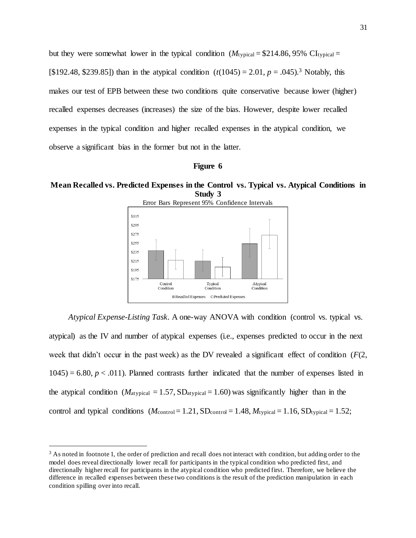but they were somewhat lower in the typical condition  $(M_{\text{typical}} = $214.86, 95\% \text{ CI}_{\text{typical}} =$ [\$192.48, \$239.85]) than in the atypical condition (*t*(1045) = 2.01, *p* = .045).<sup>3</sup> Notably, this makes our test of EPB between these two conditions quite conservative because lower (higher) recalled expenses decreases (increases) the size of the bias. However, despite lower recalled expenses in the typical condition and higher recalled expenses in the atypical condition, we observe a significant bias in the former but not in the latter.



**Mean Recalled vs. Predicted Expenses in the Control vs. Typical vs. Atypical Conditions in Study 3**



*Atypical Expense-Listing Task.* A one-way ANOVA with condition (control vs. typical vs. atypical) as the IV and number of atypical expenses (i.e., expenses predicted to occur in the next week that didn't occur in the past week) as the DV revealed a significant effect of condition (*F*(2,  $1045$ ) = 6.80,  $p < .011$ ). Planned contrasts further indicated that the number of expenses listed in the atypical condition ( $M_{\text{atypical}} = 1.57$ ,  $SD_{\text{atypical}} = 1.60$ ) was significantly higher than in the control and typical conditions  $(M_{control}=1.21, SD_{control}=1.48, M_{typical}=1.16, SD_{typical}=1.52;$ 

 $\ddot{\phantom{a}}$ 

<sup>&</sup>lt;sup>3</sup> As noted in footnote 1, the order of prediction and recall does not interact with condition, but adding order to the model does reveal directionally lower recall for participants in the typical condition who predicted first, and directionally higher recall for participants in the atypical condition who predicted first. Therefore, we believe the difference in recalled expenses between these two conditions is the result of the prediction manipulation in each condition spilling over into recall.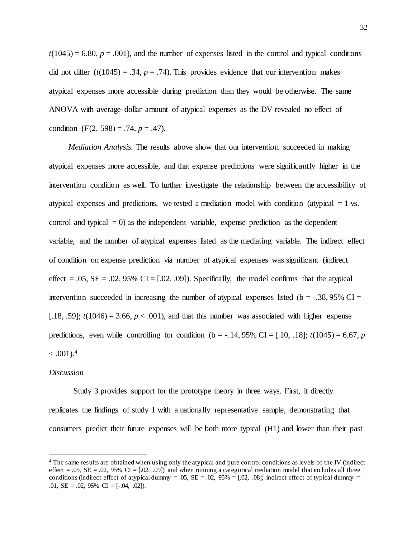$t(1045) = 6.80, p = .001$ , and the number of expenses listed in the control and typical conditions did not differ  $(t(1045) = .34, p = .74)$ . This provides evidence that our intervention makes atypical expenses more accessible during prediction than they would be otherwise. The same ANOVA with average dollar amount of atypical expenses as the DV revealed no effect of condition  $(F(2, 598) = .74, p = .47)$ .

*Mediation Analysis.* The results above show that our intervention succeeded in making atypical expenses more accessible, and that expense predictions were significantly higher in the intervention condition as well. To further investigate the relationship between the accessibility of atypical expenses and predictions, we tested a mediation model with condition (atypical  $= 1$  vs. control and typical  $= 0$ ) as the independent variable, expense prediction as the dependent variable, and the number of atypical expenses listed as the mediating variable. The indirect effect of condition on expense prediction via number of atypical expenses was significant (indirect effect =  $.05$ ,  $SE = .02$ ,  $95\%$  CI =  $[.02, .09]$ ). Specifically, the model confirms that the atypical intervention succeeded in increasing the number of atypical expenses listed ( $b = -0.38$ , 95% CI = [.18, .59];  $t(1046) = 3.66$ ,  $p < .001$ ), and that this number was associated with higher expense predictions, even while controlling for condition ( $b = -.14,95\%$  CI = [.10, .18];  $t(1045) = 6.67$ , *p*  $< .001$ ).<sup>4</sup>

#### *Discussion*

l

Study 3 provides support for the prototype theory in three ways. First, it directly replicates the findings of study 1 with a nationally representative sample, demonstrating that consumers predict their future expenses will be both more typical (H1) and lower than their past

<sup>4</sup> The same results are obtained when using only the atypical and pure control conditions as levels of the IV (indirect effect = .05,  $SE = .02$ ,  $95\%$  CI = [.02, .09]) and when running a categorical mediation model that includes all three conditions (indirect effect of atypical dummy = .05,  $SE = .02$ ,  $.95\% = [.02, .08]$ ; indirect effect of typical dummy = -.01,  $SE = .02$ ,  $95\%$  CI = [-.04, .02]).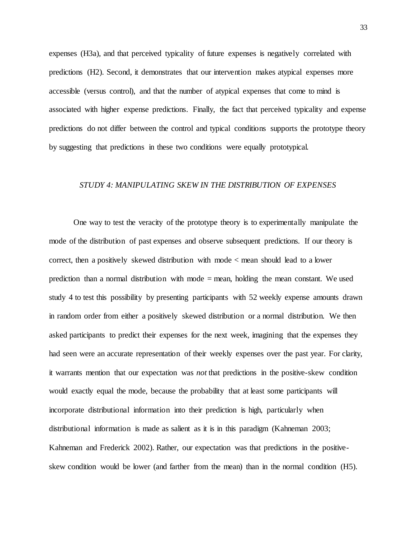expenses (H3a), and that perceived typicality of future expenses is negatively correlated with predictions (H2). Second, it demonstrates that our intervention makes atypical expenses more accessible (versus control), and that the number of atypical expenses that come to mind is associated with higher expense predictions. Finally, the fact that perceived typicality and expense predictions do not differ between the control and typical conditions supports the prototype theory by suggesting that predictions in these two conditions were equally prototypical.

## *STUDY 4: MANIPULATING SKEW IN THE DISTRIBUTION OF EXPENSES*

One way to test the veracity of the prototype theory is to experimentally manipulate the mode of the distribution of past expenses and observe subsequent predictions. If our theory is correct, then a positively skewed distribution with mode < mean should lead to a lower prediction than a normal distribution with mode = mean, holding the mean constant. We used study 4 to test this possibility by presenting participants with 52 weekly expense amounts drawn in random order from either a positively skewed distribution or a normal distribution. We then asked participants to predict their expenses for the next week, imagining that the expenses they had seen were an accurate representation of their weekly expenses over the past year. For clarity, it warrants mention that our expectation was *not* that predictions in the positive-skew condition would exactly equal the mode, because the probability that at least some participants will incorporate distributional information into their prediction is high, particularly when distributional information is made as salient as it is in this paradigm (Kahneman 2003; Kahneman and Frederick 2002). Rather, our expectation was that predictions in the positiveskew condition would be lower (and farther from the mean) than in the normal condition (H5).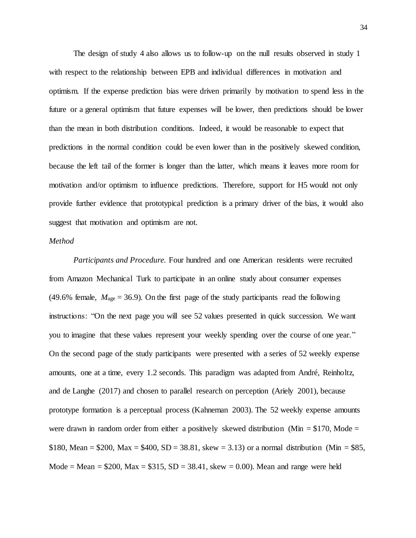The design of study 4 also allows us to follow-up on the null results observed in study 1 with respect to the relationship between EPB and individual differences in motivation and optimism. If the expense prediction bias were driven primarily by motivation to spend less in the future or a general optimism that future expenses will be lower, then predictions should be lower than the mean in both distribution conditions. Indeed, it would be reasonable to expect that predictions in the normal condition could be even lower than in the positively skewed condition, because the left tail of the former is longer than the latter, which means it leaves more room for motivation and/or optimism to influence predictions. Therefore, support for H5 would not only provide further evidence that prototypical prediction is a primary driver of the bias, it would also suggest that motivation and optimism are not.

## *Method*

*Participants and Procedure.* Four hundred and one American residents were recruited from Amazon Mechanical Turk to participate in an online study about consumer expenses (49.6% female,  $M_{\text{age}} = 36.9$ ). On the first page of the study participants read the following instructions: "On the next page you will see 52 values presented in quick succession. We want you to imagine that these values represent your weekly spending over the course of one year." On the second page of the study participants were presented with a series of 52 weekly expense amounts, one at a time, every 1.2 seconds. This paradigm was adapted from André, Reinholtz, and de Langhe (2017) and chosen to parallel research on perception (Ariely 2001), because prototype formation is a perceptual process (Kahneman 2003). The 52 weekly expense amounts were drawn in random order from either a positively skewed distribution (Min  $= $170$ , Mode  $=$ \$180, Mean = \$200, Max = \$400, SD = 38.81, skew = 3.13) or a normal distribution (Min = \$85, Mode = Mean =  $$200$ , Max =  $$315$ , SD = 38.41, skew = 0.00). Mean and range were held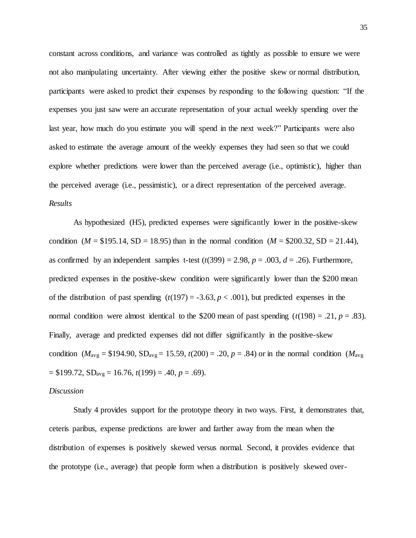constant across conditions, and variance was controlled as tightly as possible to ensure we were not also manipulating uncertainty. After viewing either the positive skew or normal distribution, participants were asked to predict their expenses by responding to the following question: "If the expenses you just saw were an accurate representation of your actual weekly spending over the last year, how much do you estimate you will spend in the next week?" Participants were also asked to estimate the average amount of the weekly expenses they had seen so that we could explore whether predictions were lower than the perceived average (i.e., optimistic), higher than the perceived average (i.e., pessimistic), or a direct representation of the perceived average. *Results*

As hypothesized (H5), predicted expenses were significantly lower in the positive-skew condition ( $M = $195.14$ ,  $SD = 18.95$ ) than in the normal condition ( $M = $200.32$ ,  $SD = 21.44$ ), as confirmed by an independent samples t-test  $(t(399) = 2.98, p = .003, d = .26)$ . Furthermore, predicted expenses in the positive-skew condition were significantly lower than the \$200 mean of the distribution of past spending  $(t(197) = -3.63, p < .001)$ , but predicted expenses in the normal condition were almost identical to the \$200 mean of past spending  $(t(198) = .21, p = .83)$ . Finally, average and predicted expenses did not differ significantly in the positive-skew condition ( $M_{\text{avg}} = $194.90$ ,  $SD_{\text{avg}} = 15.59$ ,  $t(200) = .20$ ,  $p = .84$ ) or in the normal condition ( $M_{\text{avg}}$ ) = \$199.72, SDavg = 16.76, *t*(199) = .40, *p* = .69).

#### *Discussion*

Study 4 provides support for the prototype theory in two ways. First, it demonstrates that, ceteris paribus, expense predictions are lower and farther away from the mean when the distribution of expenses is positively skewed versus normal. Second, it provides evidence that the prototype (i.e., average) that people form when a distribution is positively skewed over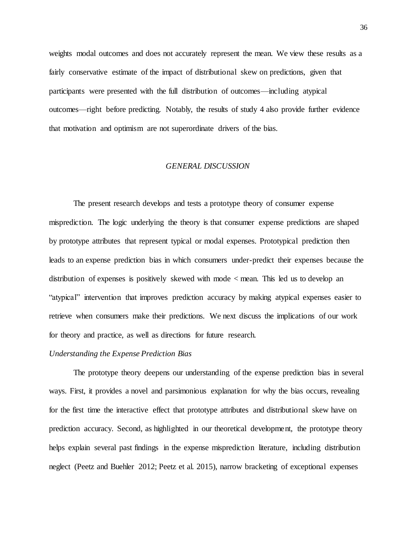weights modal outcomes and does not accurately represent the mean. We view these results as a fairly conservative estimate of the impact of distributional skew on predictions, given that participants were presented with the full distribution of outcomes—including atypical outcomes—right before predicting. Notably, the results of study 4 also provide further evidence that motivation and optimism are not superordinate drivers of the bias.

## *GENERAL DISCUSSION*

The present research develops and tests a prototype theory of consumer expense misprediction. The logic underlying the theory is that consumer expense predictions are shaped by prototype attributes that represent typical or modal expenses. Prototypical prediction then leads to an expense prediction bias in which consumers under-predict their expenses because the distribution of expenses is positively skewed with mode < mean. This led us to develop an "atypical" intervention that improves prediction accuracy by making atypical expenses easier to retrieve when consumers make their predictions. We next discuss the implications of our work for theory and practice, as well as directions for future research.

## *Understanding the Expense Prediction Bias*

The prototype theory deepens our understanding of the expense prediction bias in several ways. First, it provides a novel and parsimonious explanation for why the bias occurs, revealing for the first time the interactive effect that prototype attributes and distributional skew have on prediction accuracy. Second, as highlighted in our theoretical development, the prototype theory helps explain several past findings in the expense misprediction literature, including distribution neglect (Peetz and Buehler 2012; Peetz et al. 2015), narrow bracketing of exceptional expenses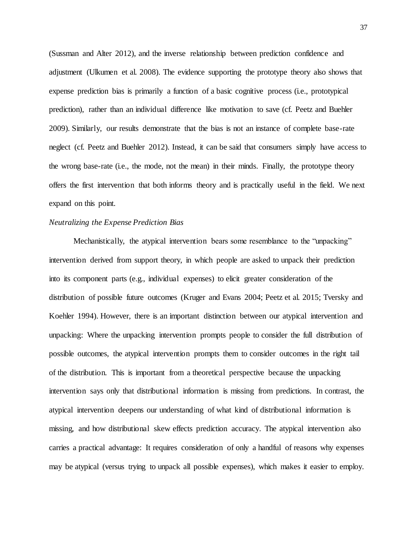(Sussman and Alter 2012), and the inverse relationship between prediction confidence and adjustment (Ulkumen et al. 2008). The evidence supporting the prototype theory also shows that expense prediction bias is primarily a function of a basic cognitive process (i.e., prototypical prediction), rather than an individual difference like motivation to save (cf. Peetz and Buehler 2009). Similarly, our results demonstrate that the bias is not an instance of complete base-rate neglect (cf. Peetz and Buehler 2012). Instead, it can be said that consumers simply have access to the wrong base-rate (i.e., the mode, not the mean) in their minds. Finally, the prototype theory offers the first intervention that both informs theory and is practically useful in the field. We next expand on this point.

## *Neutralizing the Expense Prediction Bias*

Mechanistically, the atypical intervention bears some resemblance to the "unpacking" intervention derived from support theory, in which people are asked to unpack their prediction into its component parts (e.g., individual expenses) to elicit greater consideration of the distribution of possible future outcomes (Kruger and Evans 2004; Peetz et al. 2015; Tversky and Koehler 1994). However, there is an important distinction between our atypical intervention and unpacking: Where the unpacking intervention prompts people to consider the full distribution of possible outcomes, the atypical intervention prompts them to consider outcomes in the right tail of the distribution. This is important from a theoretical perspective because the unpacking intervention says only that distributional information is missing from predictions. In contrast, the atypical intervention deepens our understanding of what kind of distributional information is missing, and how distributional skew effects prediction accuracy. The atypical intervention also carries a practical advantage: It requires consideration of only a handful of reasons why expenses may be atypical (versus trying to unpack all possible expenses), which makes it easier to employ.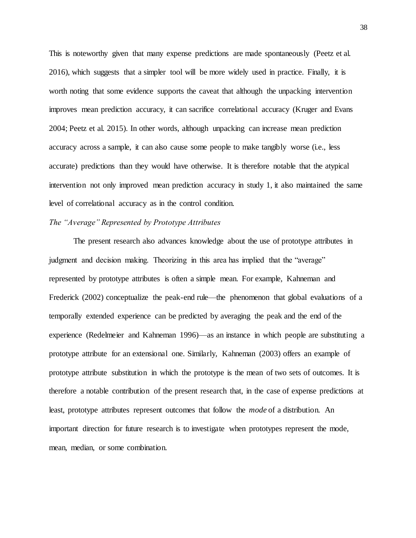This is noteworthy given that many expense predictions are made spontaneously (Peetz et al. 2016), which suggests that a simpler tool will be more widely used in practice. Finally, it is worth noting that some evidence supports the caveat that although the unpacking intervention improves mean prediction accuracy, it can sacrifice correlational accuracy (Kruger and Evans 2004; Peetz et al. 2015). In other words, although unpacking can increase mean prediction accuracy across a sample, it can also cause some people to make tangibly worse (i.e., less accurate) predictions than they would have otherwise. It is therefore notable that the atypical intervention not only improved mean prediction accuracy in study 1, it also maintained the same level of correlational accuracy as in the control condition.

## *The "Average" Represented by Prototype Attributes*

The present research also advances knowledge about the use of prototype attributes in judgment and decision making. Theorizing in this area has implied that the "average" represented by prototype attributes is often a simple mean. For example, Kahneman and Frederick (2002) conceptualize the peak-end rule—the phenomenon that global evaluations of a temporally extended experience can be predicted by averaging the peak and the end of the experience (Redelmeier and Kahneman 1996)—as an instance in which people are substituting a prototype attribute for an extensional one. Similarly, Kahneman (2003) offers an example of prototype attribute substitution in which the prototype is the mean of two sets of outcomes. It is therefore a notable contribution of the present research that, in the case of expense predictions at least, prototype attributes represent outcomes that follow the *mode* of a distribution. An important direction for future research is to investigate when prototypes represent the mode, mean, median, or some combination.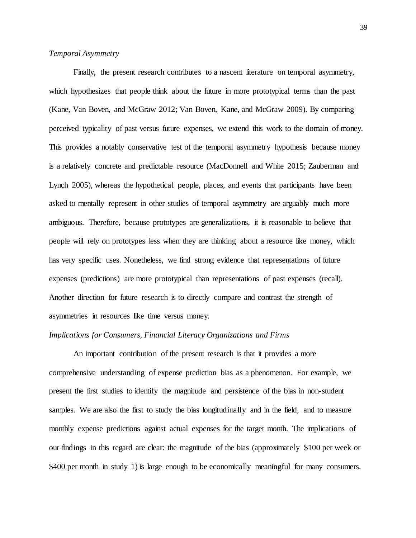# *Temporal Asymmetry*

Finally, the present research contributes to a nascent literature on temporal asymmetry, which hypothesizes that people think about the future in more prototypical terms than the past (Kane, Van Boven, and McGraw 2012; Van Boven, Kane, and McGraw 2009). By comparing perceived typicality of past versus future expenses, we extend this work to the domain of money. This provides a notably conservative test of the temporal asymmetry hypothesis because money is a relatively concrete and predictable resource (MacDonnell and White 2015; Zauberman and Lynch 2005), whereas the hypothetical people, places, and events that participants have been asked to mentally represent in other studies of temporal asymmetry are arguably much more ambiguous. Therefore, because prototypes are generalizations, it is reasonable to believe that people will rely on prototypes less when they are thinking about a resource like money, which has very specific uses. Nonetheless, we find strong evidence that representations of future expenses (predictions) are more prototypical than representations of past expenses (recall). Another direction for future research is to directly compare and contrast the strength of asymmetries in resources like time versus money.

## *Implications for Consumers, Financial Literacy Organizations and Firms*

An important contribution of the present research is that it provides a more comprehensive understanding of expense prediction bias as a phenomenon. For example, we present the first studies to identify the magnitude and persistence of the bias in non-student samples. We are also the first to study the bias longitudinally and in the field, and to measure monthly expense predictions against actual expenses for the target month. The implications of our findings in this regard are clear: the magnitude of the bias (approximately \$100 per week or \$400 per month in study 1) is large enough to be economically meaningful for many consumers.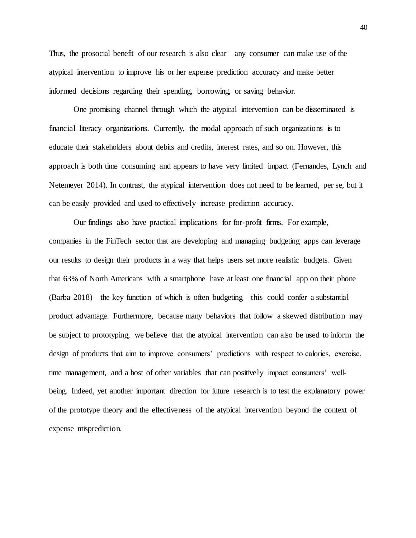Thus, the prosocial benefit of our research is also clear—any consumer can make use of the atypical intervention to improve his or her expense prediction accuracy and make better informed decisions regarding their spending, borrowing, or saving behavior.

One promising channel through which the atypical intervention can be disseminated is financial literacy organizations. Currently, the modal approach of such organizations is to educate their stakeholders about debits and credits, interest rates, and so on. However, this approach is both time consuming and appears to have very limited impact (Fernandes, Lynch and Netemeyer 2014). In contrast, the atypical intervention does not need to be learned, per se, but it can be easily provided and used to effectively increase prediction accuracy.

Our findings also have practical implications for for-profit firms. For example, companies in the FinTech sector that are developing and managing budgeting apps can leverage our results to design their products in a way that helps users set more realistic budgets. Given that 63% of North Americans with a smartphone have at least one financial app on their phone (Barba 2018)—the key function of which is often budgeting—this could confer a substantial product advantage. Furthermore, because many behaviors that follow a skewed distribution may be subject to prototyping, we believe that the atypical intervention can also be used to inform the design of products that aim to improve consumers' predictions with respect to calories, exercise, time management, and a host of other variables that can positively impact consumers' wellbeing. Indeed, yet another important direction for future research is to test the explanatory power of the prototype theory and the effectiveness of the atypical intervention beyond the context of expense misprediction.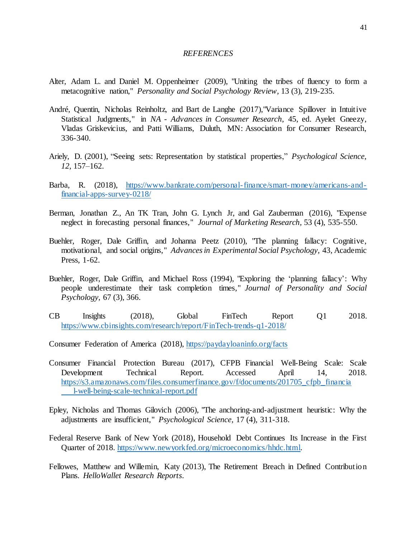## *REFERENCES*

- Alter, Adam L. and Daniel M. Oppenheimer (2009), "Uniting the tribes of fluency to form a metacognitive nation," *Personality and Social Psychology Review,* 13 (3), 219-235.
- André, Quentin, Nicholas Reinholtz, and Bart de Langhe (2017),"Variance Spillover in Intuitive Statistical Judgments," in *NA - Advances in Consumer Research*, 45, ed. Ayelet Gneezy, Vladas Griskevicius, and Patti Williams, Duluth, MN: Association for Consumer Research, 336-340.
- Ariely, D. (2001), "Seeing sets: Representation by statistical properties," *Psychological Science, 12,* 157–162.
- Barba, R. (2018), [https://www.bankrate.com/personal-finance/smart-money/americans-and](https://www.bankrate.com/personal-finance/smart-money/americans-and-financial-apps-survey-0218/)[financial-apps-survey-0218/](https://www.bankrate.com/personal-finance/smart-money/americans-and-financial-apps-survey-0218/)
- Berman, Jonathan Z., An TK Tran, John G. Lynch Jr, and Gal Zauberman (2016), "Expense neglect in forecasting personal finances," *Journal of Marketing Research,* 53 (4), 535-550.
- Buehler, Roger, Dale Griffin, and Johanna Peetz (2010), "The planning fallacy: Cognitive, motivational, and social origins," *Advances in Experimental Social Psychology*, 43, Academic Press, 1-62.
- Buehler, Roger, Dale Griffin, and Michael Ross (1994), "Exploring the 'planning fallacy': Why people underestimate their task completion times," *Journal of Personality and Social Psychology,* 67 (3), 366.
- CB Insights (2018), Global FinTech Report Q1 2018. [https://www.cbinsights.com/research/report/FinTech-trends-q1-2018/](https://www.cbinsights.com/research/report/fintech-trends-q1-2018/)
- Consumer Federation of America (2018), <https://paydayloaninfo.org/facts>
- Consumer Financial Protection Bureau (2017), CFPB Financial Well-Being Scale: Scale Development Technical Report. Accessed April 14, 2018. [https://s3.amazonaws.com/files.consumerfinance.gov/f/documents/201705\\_cfpb\\_financia](https://s3.amazonaws.com/files.consumerfinance.gov/f/documents/201705_cfpb_financia%09l-well-being-scale-technical-report.pdf) [l-well-being-scale-technical-report.pdf](https://s3.amazonaws.com/files.consumerfinance.gov/f/documents/201705_cfpb_financia%09l-well-being-scale-technical-report.pdf)
- Epley, Nicholas and Thomas Gilovich (2006), "The anchoring-and-adjustment heuristic: Why the adjustments are insufficient," *Psychological Science,* 17 (4), 311-318.
- Federal Reserve Bank of New York (2018), Household Debt Continues Its Increase in the First Quarter of 2018. [https://www.newyorkfed.org/microeconomics/hhdc.html.](https://www.newyorkfed.org/microeconomics/hhdc.html)
- Fellowes, Matthew and Willemin, Katy (2013), The Retirement Breach in Defined Contribution Plans. *HelloWallet Research Reports*.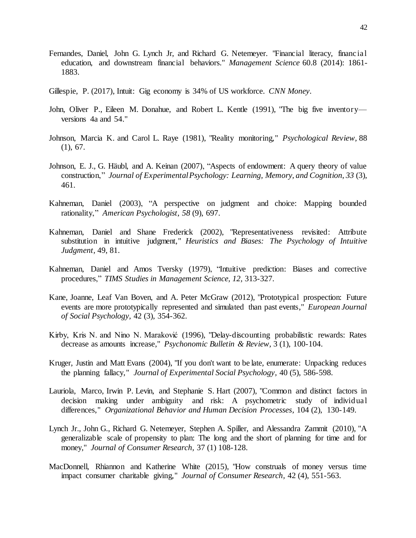- Fernandes, Daniel, John G. Lynch Jr, and Richard G. Netemeyer. "Financial literacy, financial education, and downstream financial behaviors." *Management Science* 60.8 (2014): 1861- 1883.
- Gillespie, P. (2017), Intuit: Gig economy is 34% of US workforce. *CNN Money*.
- John, Oliver P., Eileen M. Donahue, and Robert L. Kentle (1991), "The big five inventory versions 4a and 54."
- Johnson, Marcia K. and Carol L. Raye (1981), "Reality monitoring," *Psychological Review,* 88 (1), 67.
- Johnson, E. J., G. Häubl, and A. Keinan (2007), "Aspects of endowment: A query theory of value construction," *Journal of Experimental Psychology: Learning, Memory, and Cognition*, *33* (3), 461.
- Kahneman, Daniel (2003), "A perspective on judgment and choice: Mapping bounded rationality," *American Psychologist*, *58* (9), 697.
- Kahneman, Daniel and Shane Frederick (2002), "Representativeness revisited: Attribute substitution in intuitive judgment," *Heuristics and Biases: The Psychology of Intuitive Judgment,* 49, 81.
- Kahneman, Daniel and Amos Tversky (1979), "Intuitive prediction: Biases and corrective procedures," *TIMS Studies in Management Science, 12,* 313-327.
- Kane, Joanne, Leaf Van Boven, and A. Peter McGraw (2012), "Prototypical prospection: Future events are more prototypically represented and simulated than past events," *European Journal of Social Psychology,* 42 (3), 354-362.
- Kirby, Kris N. and Nino N. Maraković (1996), "Delay-discounting probabilistic rewards: Rates decrease as amounts increase," *Psychonomic Bulletin & Review,* 3 (1), 100-104.
- Kruger, Justin and Matt Evans (2004), "If you don't want to be late, enumerate: Unpacking reduces the planning fallacy," *Journal of Experimental Social Psychology,* 40 (5), 586-598.
- Lauriola, Marco, Irwin P. Levin, and Stephanie S. Hart (2007), "Common and distinct factors in decision making under ambiguity and risk: A psychometric study of individual differences," *Organizational Behavior and Human Decision Processes,* 104 (2), 130-149.
- Lynch Jr., John G., Richard G. Netemeyer, Stephen A. Spiller, and Alessandra Zammit (2010), "A generalizable scale of propensity to plan: The long and the short of planning for time and for money," *Journal of Consumer Research,* 37 (1) 108-128.
- MacDonnell, Rhiannon and Katherine White (2015), "How construals of money versus time impact consumer charitable giving," *Journal of Consumer Research,* 42 (4), 551-563.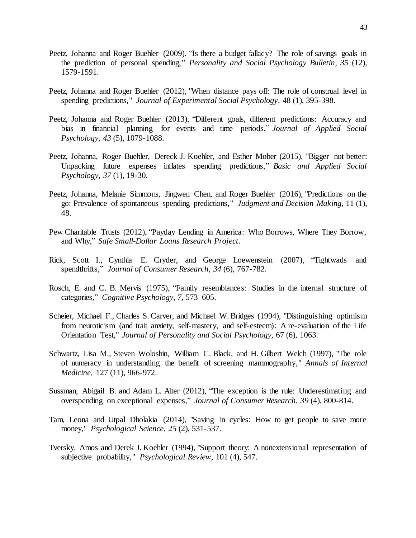- Peetz, Johanna and Roger Buehler (2009), "Is there a budget fallacy? The role of savings goals in the prediction of personal spending," *Personality and Social Psychology Bulletin*, *35* (12), 1579-1591.
- Peetz, Johanna and Roger Buehler (2012), "When distance pays off: The role of construal level in spending predictions," *Journal of Experimental Social Psychology,* 48 (1), 395-398.
- Peetz, Johanna and Roger Buehler (2013), "Different goals, different predictions: Accuracy and bias in financial planning for events and time periods," *Journal of Applied Social Psychology*, *43* (5), 1079-1088.
- Peetz, Johanna, Roger Buehler, Dereck J. Koehler, and Esther Moher (2015), "Bigger not better: Unpacking future expenses inflates spending predictions," *Basic and Applied Social Psychology*, *37* (1), 19-30.
- Peetz, Johanna, Melanie Simmons, Jingwen Chen, and Roger Buehler (2016), "Predictions on the go: Prevalence of spontaneous spending predictions," *Judgment and Decision Making,* 11 (1), 48.
- Pew Charitable Trusts (2012), "Payday Lending in America: Who Borrows, Where They Borrow, and Why," *Safe Small-Dollar Loans Research Project*.
- Rick, Scott I., Cynthia E. Cryder, and George Loewenstein (2007), "Tightwads and spendthrifts," *Journal of Consumer Research*, *34* (6), 767-782.
- Rosch, E. and C. B. Mervis (1975), "Family resemblances: Studies in the internal structure of categories," *Cognitive Psychology, 7,* 573–605.
- Scheier, Michael F., Charles S. Carver, and Michael W. Bridges (1994), "Distinguishing optimism from neuroticism (and trait anxiety, self-mastery, and self-esteem): A re-evaluation of the Life Orientation Test," *Journal of Personality and Social Psychology,* 67 (6), 1063.
- Schwartz, Lisa M., Steven Woloshin, William C. Black, and H. Gilbert Welch (1997), "The role of numeracy in understanding the benefit of screening mammography," *Annals of Internal Medicine,* 127 (11), 966-972.
- Sussman, Abigail B. and Adam L. Alter (2012), "The exception is the rule: Underestimating and overspending on exceptional expenses," *Journal of Consumer Research*, *39* (4), 800-814.
- Tam, Leona and Utpal Dholakia (2014), "Saving in cycles: How to get people to save more money," *Psychological Science,* 25 (2), 531-537.
- Tversky, Amos and Derek J. Koehler (1994), "Support theory: A nonextensional representation of subjective probability," *Psychological Review,* 101 (4), 547.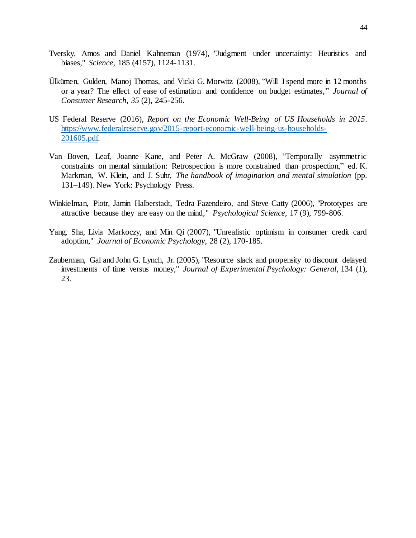- Tversky, Amos and Daniel Kahneman (1974), "Judgment under uncertainty: Heuristics and biases," *Science,* 185 (4157), 1124-1131.
- Ülkümen, Gulden, Manoj Thomas, and Vicki G. Morwitz (2008), "Will I spend more in 12 months or a year? The effect of ease of estimation and confidence on budget estimates," *Journal of Consumer Research*, *35* (2), 245-256.
- US Federal Reserve (2016), *Report on the Economic Well-Being of US Households in 2015*. [https://www.federalreserve.gov/2015-report-economic-well-being-us-households-](https://www.federalreserve.gov/2015-report-economic-well-being-us-households-201605.pdf)[201605.pdf.](https://www.federalreserve.gov/2015-report-economic-well-being-us-households-201605.pdf)
- Van Boven, Leaf, Joanne Kane, and Peter A. McGraw (2008), "Temporally asymmetric constraints on mental simulation: Retrospection is more constrained than prospection," ed. K. Markman, W. Klein, and J. Suhr, *The handbook of imagination and mental simulation* (pp. 131–149). New York: Psychology Press.
- Winkielman, Piotr, Jamin Halberstadt, Tedra Fazendeiro, and Steve Catty (2006), "Prototypes are attractive because they are easy on the mind," *Psychological Science,* 17 (9), 799-806.
- Yang, Sha, Livia Markoczy, and Min Qi (2007), "Unrealistic optimism in consumer credit card adoption," *Journal of Economic Psychology,* 28 (2), 170-185.
- Zauberman, Gal and John G. Lynch, Jr. (2005), "Resource slack and propensity to discount delayed investments of time versus money," *Journal of Experimental Psychology: General,* 134 (1), 23.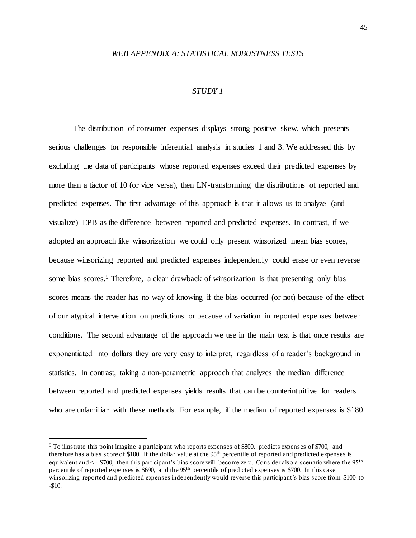## *WEB APPENDIX A: STATISTICAL ROBUSTNESS TESTS*

## *STUDY 1*

The distribution of consumer expenses displays strong positive skew, which presents serious challenges for responsible inferential analysis in studies 1 and 3. We addressed this by excluding the data of participants whose reported expenses exceed their predicted expenses by more than a factor of 10 (or vice versa), then LN-transforming the distributions of reported and predicted expenses. The first advantage of this approach is that it allows us to analyze (and visualize) EPB as the difference between reported and predicted expenses. In contrast, if we adopted an approach like winsorization we could only present winsorized mean bias scores, because winsorizing reported and predicted expenses independently could erase or even reverse some bias scores.<sup>5</sup> Therefore, a clear drawback of winsorization is that presenting only bias scores means the reader has no way of knowing if the bias occurred (or not) because of the effect of our atypical intervention on predictions or because of variation in reported expenses between conditions. The second advantage of the approach we use in the main text is that once results are exponentiated into dollars they are very easy to interpret, regardless of a reader's background in statistics. In contrast, taking a non-parametric approach that analyzes the median difference between reported and predicted expenses yields results that can be counterintuitive for readers who are unfamiliar with these methods. For example, if the median of reported expenses is \$180

 $\ddot{\phantom{a}}$ 

<sup>5</sup> To illustrate this point imagine a participant who reports expenses of \$800, predicts expenses of \$700, and therefore has a bias score of \$100. If the dollar value at the 95th percentile of reported and predicted expenses is equivalent and  $\leq$  \$700, then this participant's bias score will become zero. Consider also a scenario where the 95<sup>th</sup> percentile of reported expenses is \$690, and the 95th percentile of predicted expenses is \$700. In this case winsorizing reported and predicted expenses independently would reverse this participant's bias score from \$100 to -\$10.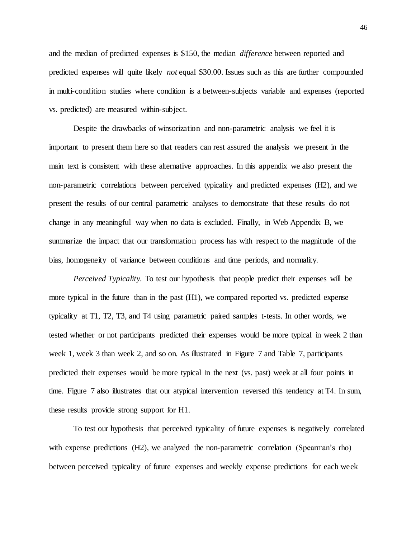and the median of predicted expenses is \$150, the median *difference* between reported and predicted expenses will quite likely *not* equal \$30.00. Issues such as this are further compounded in multi-condition studies where condition is a between-subjects variable and expenses (reported vs. predicted) are measured within-subject.

Despite the drawbacks of winsorization and non-parametric analysis we feel it is important to present them here so that readers can rest assured the analysis we present in the main text is consistent with these alternative approaches. In this appendix we also present the non-parametric correlations between perceived typicality and predicted expenses (H2), and we present the results of our central parametric analyses to demonstrate that these results do not change in any meaningful way when no data is excluded. Finally, in Web Appendix B, we summarize the impact that our transformation process has with respect to the magnitude of the bias, homogeneity of variance between conditions and time periods, and normality.

*Perceived Typicality*. To test our hypothesis that people predict their expenses will be more typical in the future than in the past (H1), we compared reported vs. predicted expense typicality at T1, T2, T3, and T4 using parametric paired samples t-tests. In other words, we tested whether or not participants predicted their expenses would be more typical in week 2 than week 1, week 3 than week 2, and so on. As illustrated in Figure 7 and Table 7, participants predicted their expenses would be more typical in the next (vs. past) week at all four points in time. Figure 7 also illustrates that our atypical intervention reversed this tendency at T4. In sum, these results provide strong support for H1.

To test our hypothesis that perceived typicality of future expenses is negatively correlated with expense predictions (H2), we analyzed the non-parametric correlation (Spearman's rho) between perceived typicality of future expenses and weekly expense predictions for each week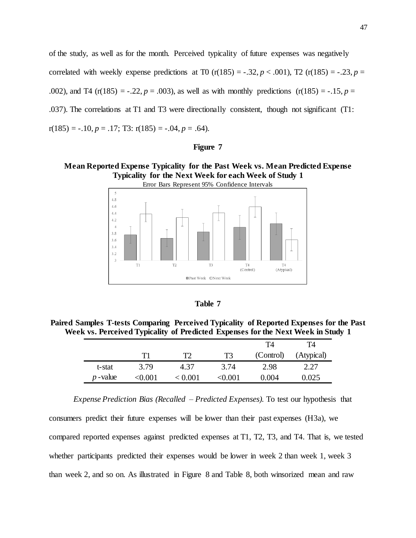of the study, as well as for the month. Perceived typicality of future expenses was negatively correlated with weekly expense predictions at T0  $(r(185) = -.32, p < .001)$ , T2  $(r(185) = .23, p = .001)$ .002), and T4 (r(185) = -.22,  $p = .003$ ), as well as with monthly predictions (r(185) = -.15,  $p = .003$ ). .037). The correlations at T1 and T3 were directionally consistent, though not significant (T1:  $r(185) = -.10, p = .17;$  T3:  $r(185) = -.04, p = .64$ .

### **Figure 7**

# **Mean Reported Expense Typicality for the Past Week vs. Mean Predicted Expense Typicality for the Next Week for each Week of Study 1**



| ۱<br>n<br>۲I |
|--------------|
|--------------|

**Paired Samples T-tests Comparing Perceived Typicality of Reported Expenses for the Past Week vs. Perceived Typicality of Predicted Expenses for the Next Week in Study 1**

|            |              |         |              | T4        | T4         |
|------------|--------------|---------|--------------|-----------|------------|
|            | T1           |         | T3           | (Control) | (Atypical) |
| t-stat     | 3.79         | 4.37    | 3.74         | 2.98      | 2.27       |
| $p$ -value | $<\!\!0.001$ | < 0.001 | $<\!\!0.001$ | 0.004     | 0.025      |

*Expense Prediction Bias (Recalled – Predicted Expenses).* To test our hypothesis that consumers predict their future expenses will be lower than their past expenses (H3a), we compared reported expenses against predicted expenses at T1, T2, T3, and T4. That is, we tested whether participants predicted their expenses would be lower in week 2 than week 1, week 3 than week 2, and so on. As illustrated in Figure 8 and Table 8, both winsorized mean and raw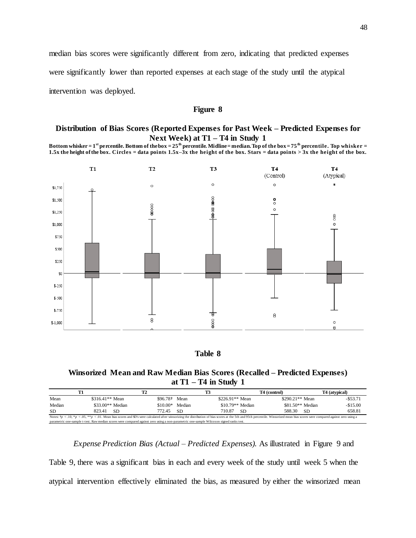median bias scores were significantly different from zero, indicating that predicted expenses were significantly lower than reported expenses at each stage of the study until the atypical intervention was deployed.

### **Figure 8**

# **Distribution of Bias Scores (Reported Expenses for Past Week – Predicted Expenses for Next Week) at T1 – T4 in Study 1**

**Bottom whisker = 1st percentile. Bottom of the box = 25th percentile. Midline = median. Top of the box = 75th percentile. Top whisker = 1.5x the height of the box. Circles = data points 1.5x–3x the height of the box. Stars = data points > 3x the height of the box.**



## **Table 8**

## **Winsorized Mean and Raw Median Bias Scores (Recalled – Predicted Expenses) at T1 – T4 in Study 1**

|                                                                                                                                                                                                                                       |                   | Т2                                                                                                                                       |        |                   | T4 (control)     | T <sub>4</sub> (atypical) |
|---------------------------------------------------------------------------------------------------------------------------------------------------------------------------------------------------------------------------------------|-------------------|------------------------------------------------------------------------------------------------------------------------------------------|--------|-------------------|------------------|---------------------------|
| Mean                                                                                                                                                                                                                                  | $$316.41**$ Mean  | $$96.78+$                                                                                                                                | Mean   | \$226.91** Mean   | \$290.21** Mean  | $-$ \$53.71               |
| Median                                                                                                                                                                                                                                | $$33.00**$ Median | \$10.00*                                                                                                                                 | Median | $$10.79**$ Median | \$81.50** Median | $-$15.00$                 |
| <b>SD</b>                                                                                                                                                                                                                             | 823.41<br>-SD.    | 772.45                                                                                                                                   | -SD    | 710.87<br>-SD     | 588.30<br>-SD    | 658.81                    |
| Notes: $tp < .10$ , *p $< .05$ , **p $< .01$ . Mean bias scores and SD's were calculated after winsorizing the distribution of bias scores at the 5th and 95th percentile. Winsorized mean bias scores were compared against zero usi |                   |                                                                                                                                          |        |                   |                  |                           |
|                                                                                                                                                                                                                                       |                   | parametric one-sample t-test. Raw median scores were compared against zero using a non-parametric one-sample Wilcoxon signed ranks test. |        |                   |                  |                           |

*Expense Prediction Bias (Actual – Predicted Expenses).* As illustrated in Figure 9 and Table 9, there was a significant bias in each and every week of the study until week 5 when the atypical intervention effectively eliminated the bias, as measured by either the winsorized mean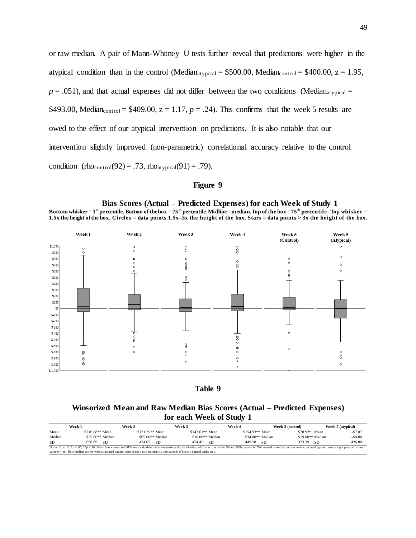or raw median. A pair of Mann-Whitney U tests further reveal that predictions were higher in the atypical condition than in the control (Median<sub>atypical</sub> =  $$500.00$ , Median<sub>control</sub> =  $$400.00$ ,  $z = 1.95$ ,  $p = .051$ ), and that actual expenses did not differ between the two conditions (Median<sub>atypical</sub> = \$493.00, Median<sub>control</sub> = \$409.00,  $z = 1.17$ ,  $p = .24$ ). This confirms that the week 5 results are owed to the effect of our atypical intervention on predictions. It is also notable that our intervention slightly improved (non-parametric) correlational accuracy relative to the control condition (rhocontrol(92) = .73, rhoatypical(91) = .79).

### **Figure 9**





# **Winsorized Mean and Raw Median Bias Scores (Actual – Predicted Expenses) for each Week of Study 1**

|           | Week 1 |                 | Week 2            |                   | Week 3                                                                                                                    |                   |      | Week 4            | Week 5 (control)                                                                                                                                                                                                                  | Week 5 (atypical) |            |
|-----------|--------|-----------------|-------------------|-------------------|---------------------------------------------------------------------------------------------------------------------------|-------------------|------|-------------------|-----------------------------------------------------------------------------------------------------------------------------------------------------------------------------------------------------------------------------------|-------------------|------------|
| Mean      |        | \$216.88** Mean |                   | \$171.25** Mean   |                                                                                                                           | $$143.61**$ Mean  |      | $$154.93**$ Mean  | \$78.92*                                                                                                                                                                                                                          | Mean              | $-$ \$7.07 |
| Median    |        |                 | $$35.00**$ Median | $$65.00**$ Median |                                                                                                                           | $$10.00**$ Median |      | $$34.00**$ Median | $$19.00**$ Median                                                                                                                                                                                                                 |                   | $-$ \$0.00 |
| <b>SD</b> |        | 698.69          | -SD               | 474.07            | -SD                                                                                                                       | 474.45            | – SD | 449.58<br>-SD     | 323.39                                                                                                                                                                                                                            | -SD               | 426.80     |
|           |        |                 |                   |                   |                                                                                                                           |                   |      |                   | Notes: $tp < .10$ , *p < .05, **p < .01. Mean bias scores and SD's were calculated after winsorizing the distribution of bias scores at the 5th and 95th percentile. Winsorized mean bias scores were compared against zero using |                   |            |
|           |        |                 |                   |                   | sample t-test. Raw median scores were compared against zero using a non-parametric one-sample Wilcoxon signed ranks test. |                   |      |                   |                                                                                                                                                                                                                                   |                   |            |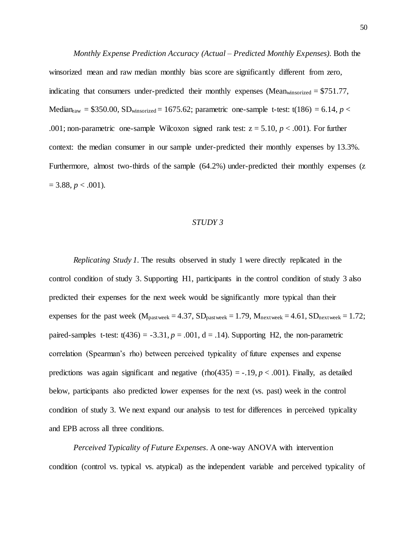*Monthly Expense Prediction Accuracy (Actual – Predicted Monthly Expenses).* Both the winsorized mean and raw median monthly bias score are significantly different from zero, indicating that consumers under-predicted their monthly expenses (Meanwinsorized = \$751.77, Median<sub>raw</sub> = \$350.00, SD<sub>winsorized</sub> = 1675.62; parametric one-sample t-test: t(186) = 6.14, *p* < .001; non-parametric one-sample Wilcoxon signed rank test:  $z = 5.10$ ,  $p < .001$ ). For further context: the median consumer in our sample under-predicted their monthly expenses by 13.3%. Furthermore, almost two-thirds of the sample (64.2%) under-predicted their monthly expenses (z  $= 3.88, p < .001$ ).

#### *STUDY 3*

*Replicating Study 1.* The results observed in study 1 were directly replicated in the control condition of study 3. Supporting H1, participants in the control condition of study 3 also predicted their expenses for the next week would be significantly more typical than their expenses for the past week ( $M_{\text{pastweek}} = 4.37$ ,  $SD_{\text{pastweek}} = 1.79$ ,  $M_{\text{nextweek}} = 4.61$ ,  $SD_{\text{nextweek}} = 1.72$ ; paired-samples t-test:  $t(436) = -3.31$ ,  $p = .001$ ,  $d = .14$ ). Supporting H2, the non-parametric correlation (Spearman's rho) between perceived typicality of future expenses and expense predictions was again significant and negative (rho(435) = -.19,  $p < .001$ ). Finally, as detailed below, participants also predicted lower expenses for the next (vs. past) week in the control condition of study 3. We next expand our analysis to test for differences in perceived typicality and EPB across all three conditions.

*Perceived Typicality of Future Expenses*. A one-way ANOVA with intervention condition (control vs. typical vs. atypical) as the independent variable and perceived typicality of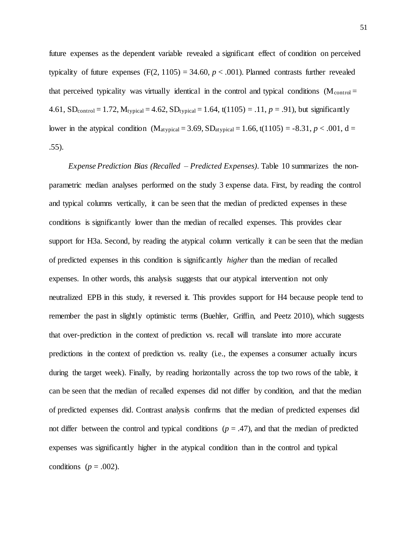future expenses as the dependent variable revealed a significant effect of condition on perceived typicality of future expenses  $(F(2, 1105) = 34.60, p < .001)$ . Planned contrasts further revealed that perceived typicality was virtually identical in the control and typical conditions ( $M_{control}$ ) 4.61, SD<sub>control</sub> = 1.72,  $M_{typical} = 4.62$ ,  $SD_{typical} = 1.64$ ,  $t(1105) = .11$ ,  $p = .91$ ), but significantly lower in the atypical condition (M<sub>atypical</sub> = 3.69, SD<sub>atypical</sub> = 1.66, t(1105) = -8.31, *p* < .001, d = .55).

*Expense Prediction Bias (Recalled – Predicted Expenses)*. Table 10 summarizes the nonparametric median analyses performed on the study 3 expense data. First, by reading the control and typical columns vertically, it can be seen that the median of predicted expenses in these conditions is significantly lower than the median of recalled expenses. This provides clear support for H3a. Second, by reading the atypical column vertically it can be seen that the median of predicted expenses in this condition is significantly *higher* than the median of recalled expenses. In other words, this analysis suggests that our atypical intervention not only neutralized EPB in this study, it reversed it. This provides support for H4 because people tend to remember the past in slightly optimistic terms (Buehler, Griffin, and Peetz 2010), which suggests that over-prediction in the context of prediction vs. recall will translate into more accurate predictions in the context of prediction vs. reality (i.e., the expenses a consumer actually incurs during the target week). Finally, by reading horizontally across the top two rows of the table, it can be seen that the median of recalled expenses did not differ by condition, and that the median of predicted expenses did. Contrast analysis confirms that the median of predicted expenses did not differ between the control and typical conditions  $(p = .47)$ , and that the median of predicted expenses was significantly higher in the atypical condition than in the control and typical conditions ( $p = .002$ ).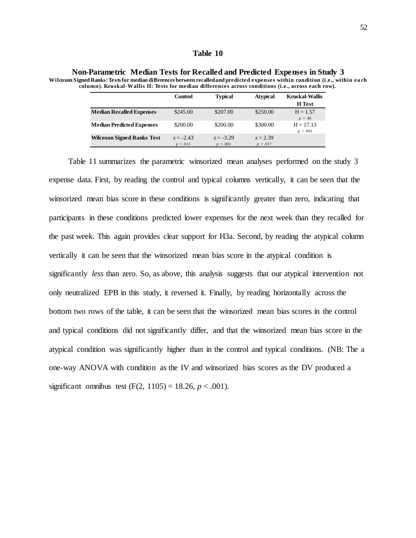### **Table 10**

|                                   | Control                   | <b>Typical</b>            | <b>Atypical</b>          | <b>Kruskal-Wallis</b>   |
|-----------------------------------|---------------------------|---------------------------|--------------------------|-------------------------|
|                                   |                           |                           |                          | <b>H</b> Test           |
| <b>Median Recalled Expenses</b>   | \$245.00                  | \$207.00                  | \$250.00                 | $H = 1.57$<br>$p = .46$ |
| <b>Median Predicted Expenses</b>  | \$200.00                  | \$200.00                  | \$300.00                 | $H = 17.13$<br>p < .001 |
| <b>Wilcoxon Signed Ranks Test</b> | $z = -2.43$<br>$p = .015$ | $z = -3.29$<br>$p = .001$ | $z = 2.39$<br>$p = .017$ |                         |

**Non-Parametric Median Tests for Recalled and Predicted Expenses in Study 3**

**Wilcoxon Signed Ranks: Tests for median differences between recalled and predicted expenses within condition (i.e., within ea ch column). Kruskal-Wallis H: Tests for median differences across conditions (i.e., across each row).**

Table 11 summarizes the parametric winsorized mean analyses performed on the study 3 expense data. First, by reading the control and typical columns vertically, it can be seen that the winsorized mean bias score in these conditions is significantly greater than zero, indicating that participants in these conditions predicted lower expenses for the next week than they recalled for the past week. This again provides clear support for H3a. Second, by reading the atypical column vertically it can be seen that the winsorized mean bias score in the atypical condition is significantly *less* than zero. So, as above, this analysis suggests that our atypical intervention not only neutralized EPB in this study, it reversed it. Finally, by reading horizontally across the bottom two rows of the table, it can be seen that the winsorized mean bias scores in the control and typical conditions did not significantly differ, and that the winsorized mean bias score in the atypical condition was significantly higher than in the control and typical conditions. (NB: The a one-way ANOVA with condition as the IV and winsorized bias scores as the DV produced a significant omnibus test  $(F(2, 1105) = 18.26, p < .001)$ .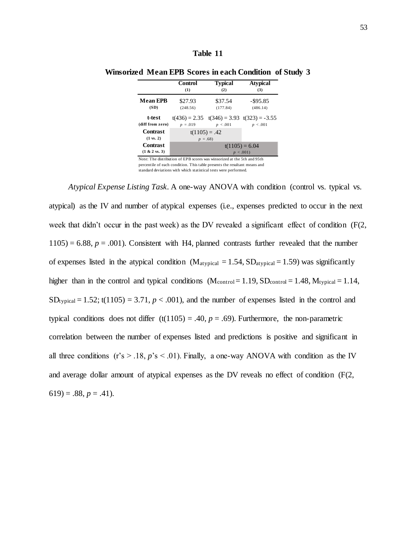|                                                                         | Control          | <b>Typical</b>  | <b>Atypical</b>                                              |  |  |  |  |  |  |  |  |
|-------------------------------------------------------------------------|------------------|-----------------|--------------------------------------------------------------|--|--|--|--|--|--|--|--|
|                                                                         | (1)              | (2)             | (3)                                                          |  |  |  |  |  |  |  |  |
| <b>Mean EPB</b>                                                         | \$27.93          | \$37.54         | $-$ \$95.85                                                  |  |  |  |  |  |  |  |  |
| (SD)                                                                    | (248.56)         | (177.84)        | (486.14)                                                     |  |  |  |  |  |  |  |  |
| t-test<br>(diff from zero)                                              | $p = .019$       | p < .001        | $t(436) = 2.35$ $t(346) = 3.93$ $t(323) = -3.55$<br>p < .001 |  |  |  |  |  |  |  |  |
| <b>Contrast</b><br>$(1 \text{ vs. } 2)$                                 | $p = .68$        | $t(1105) = .42$ |                                                              |  |  |  |  |  |  |  |  |
| <b>Contrast</b>                                                         | $t(1105) = 6.04$ |                 |                                                              |  |  |  |  |  |  |  |  |
| $(1 & 2 \text{ vs. } 3)$                                                | p < .001         |                 |                                                              |  |  |  |  |  |  |  |  |
| Note: The distribution of EPB scores was winsorized at the 5th and 95th |                  |                 |                                                              |  |  |  |  |  |  |  |  |

**Winsorized Mean EPB Scores in each Condition of Study 3**

percentile of each condition. This table presents the resultant means and standard deviations with which statistical tests were performed.

*Atypical Expense Listing Task.* A one-way ANOVA with condition (control vs. typical vs. atypical) as the IV and number of atypical expenses (i.e., expenses predicted to occur in the next week that didn't occur in the past week) as the DV revealed a significant effect of condition (F(2,  $1105$ ) = 6.88,  $p = .001$ ). Consistent with H4, planned contrasts further revealed that the number of expenses listed in the atypical condition ( $M_{\text{atypical}} = 1.54$ ,  $SD_{\text{atypical}} = 1.59$ ) was significantly higher than in the control and typical conditions  $(M_{control} = 1.19, SD_{control} = 1.48, M_{typical} = 1.14,$  $SD_{typical} = 1.52$ ; t(1105) = 3.71,  $p < .001$ ), and the number of expenses listed in the control and typical conditions does not differ  $(t(1105) = .40, p = .69)$ . Furthermore, the non-parametric correlation between the number of expenses listed and predictions is positive and significant in all three conditions  $(r's > .18, p's < .01)$ . Finally, a one-way ANOVA with condition as the IV and average dollar amount of atypical expenses as the DV reveals no effect of condition (F(2,  $619$  = .88,  $p = .41$ ).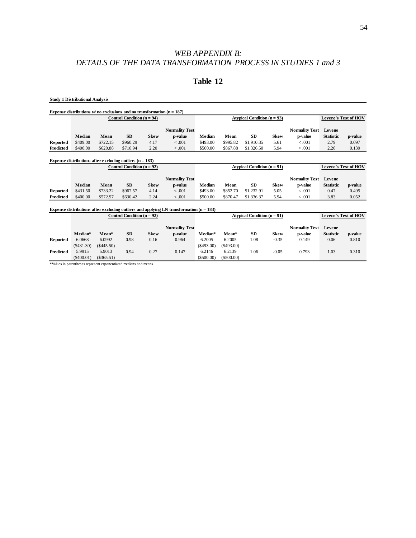# *WEB APPENDIX B: DETAILS OF THE DATA TRANSFORMATION PROCESS IN STUDIES 1 and 3*

# **Table 12**

**Study 1 Distributional Analysis**

|           |          |          | Expense distributions $w/$ no exclusions and no transformation $(n = 187)$ |             |                       |          |          |                               |             |                       |                             |         |
|-----------|----------|----------|----------------------------------------------------------------------------|-------------|-----------------------|----------|----------|-------------------------------|-------------|-----------------------|-----------------------------|---------|
|           |          |          | Control Condition $(n = 94)$                                               |             |                       |          |          | Atypical Condition $(n = 93)$ |             |                       | <b>Levene's Test of HOV</b> |         |
|           |          |          |                                                                            |             | <b>Normality Test</b> |          |          |                               |             | <b>Normality Test</b> | Levene                      |         |
|           | Median   | Mean     | <b>SD</b>                                                                  | <b>Skew</b> | p-value               | Median   | Mean     | <b>SD</b>                     | <b>Skew</b> | p-value               | <b>Statistic</b>            | p-value |
| Reported  | \$409.00 | \$722.15 | \$960.29                                                                   | 4.17        | $-.001$               | \$493.00 | \$995.82 | \$1,910.35                    | 5.61        | $-.001$               | 2.79                        | 0.097   |
| Predicted | \$400.00 | \$620.88 | \$710.94                                                                   | 2.20        | $-.001$               | \$500.00 | \$867.88 | \$1,326.50                    | 5.94        | $-.001$               | 2.20                        | 0.139   |
|           |          |          |                                                                            |             |                       |          |          |                               |             |                       |                             |         |

|           |          |          | Expense distributions after excluding outliers $(n = 183)$ |             |                       |          |          |                               |             |                       |                             |         |
|-----------|----------|----------|------------------------------------------------------------|-------------|-----------------------|----------|----------|-------------------------------|-------------|-----------------------|-----------------------------|---------|
|           |          |          | Control Condition $(n = 92)$                               |             |                       |          |          | Atypical Condition $(n = 91)$ |             |                       | <b>Levene's Test of HOV</b> |         |
|           |          |          |                                                            |             | <b>Normality Test</b> |          |          |                               |             | <b>Normality Test</b> | Levene                      |         |
|           | Median   | Mean     | <b>SD</b>                                                  | <b>Skew</b> | p-value               | Median   | Mean     | <b>SD</b>                     | <b>Skew</b> | p-value               | <b>Statistic</b>            | p-value |
| Reported  | \$431.50 | \$733.22 | \$967.57                                                   | 4.14        | < 0.001               | \$493.00 | \$852.70 | \$1,232.91                    | 5.05        | $-.001$               | 0.47                        | 0.495   |
| Predicted | \$400.00 | \$572.97 | \$630.42                                                   | 2.24        | <.001                 | \$500.00 | \$870.47 | \$1,336.37                    | 5.94        | $-.001$               | 3.83                        | 0.052   |

#### **Expense distributions after excluding outliers and applying LN transformation (n = 183)**

|           |              |              | Control Condition $(n = 92)$ |             |                       |           | Atypical Condition $(n = 91)$ |     | <b>Levene's Test of HOV</b> |                       |                  |         |
|-----------|--------------|--------------|------------------------------|-------------|-----------------------|-----------|-------------------------------|-----|-----------------------------|-----------------------|------------------|---------|
|           |              |              |                              |             | <b>Normality Test</b> |           |                               |     |                             | <b>Normality Test</b> | Levene           |         |
|           | Median*      | Mean*        | <b>SD</b>                    | <b>Skew</b> | p-value               | Median*   | Mean*                         | SD  | <b>Skew</b>                 | p-value               | <b>Statistic</b> | p-value |
| Reported  | 6.0668       | 6.0992       | 0.98                         | 0.16        | 0.964                 | 6.2005    | 6.2005                        | .08 | $-0.35$                     | 0.149                 | 0.06             | 0.810   |
|           | $(\$431.30)$ | $(\$445.50)$ |                              |             |                       | (S493.00) | (S493.00)                     |     |                             |                       |                  |         |
| Predicted | 5.9915       | 5.9013       | 0.94                         | 0.27        | 0.147                 | 6.2146    | 6.2139                        | .06 | $-0.05$                     | 0.793                 | 1.03             | 0.310   |
|           | $(\$400.01)$ | $(\$365.51)$ |                              |             |                       | (S500.00) | (\$500.00)                    |     |                             |                       |                  |         |

**\***Values in parentheses represent exponentiated medians and means.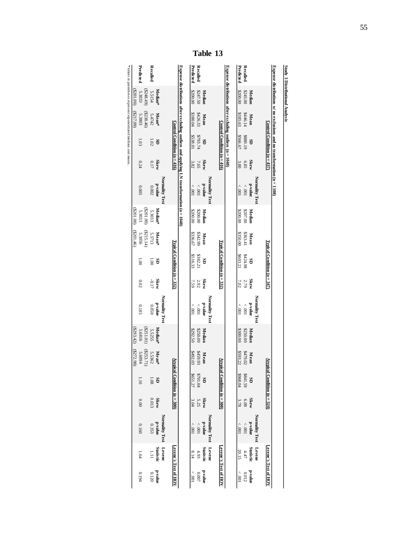|           | Study 3 Distributional Analysis |                       |                                                                            |                     |                                                                                            |                        |                  |                                 |                     |                                  |                    |                  |                              |                     |                                    |                      |                           |
|-----------|---------------------------------|-----------------------|----------------------------------------------------------------------------|---------------------|--------------------------------------------------------------------------------------------|------------------------|------------------|---------------------------------|---------------------|----------------------------------|--------------------|------------------|------------------------------|---------------------|------------------------------------|----------------------|---------------------------|
|           |                                 |                       | Expense distributions $w$ no exclusions and no transformation $(n = 1108)$ |                     |                                                                                            |                        |                  |                                 |                     |                                  |                    |                  |                              |                     |                                    |                      |                           |
|           |                                 |                       | Control Condition ( $n = 437$ )                                            |                     |                                                                                            |                        |                  | Typical Condition ( $n = 347$ ) |                     |                                  |                    | Atypi            | ical Condition ( $n = 324$ ) |                     |                                    |                      | Levene's Test of HOV      |
|           |                                 |                       |                                                                            |                     | Normality Test                                                                             |                        |                  |                                 |                     | Normality Test                   |                    |                  |                              |                     | Normality Test                     | Levene               |                           |
|           | Median                          | Mean                  | GS                                                                         | <b>Skew</b>         | anpa-d                                                                                     | Median                 | Mean             | GS                              | <b>Skew</b>         | <b>b</b> -value                  | Median             | Mean             | GS                           | <b>Skew</b>         | <b>b-value</b>                     |                      | $\mathbf{p}\text{-value}$ |
| Recalled  | \$245.00                        | \$446.14              | \$880.19                                                                   | 6.85                | $100^\circ$ $>$                                                                            | \$207.00               | \$363.41         | 8424.98                         | 2.79                | $100^\circ$ $>$                  | \$250.00           | \$479.02         | \$841.59                     | 80'9                | $100^\circ$ $>$                    | Statistic<br>$4.47$  | 0.012                     |
| Predicted | \$200.00                        | \$385.63              | \$566.67                                                                   | 3.80                | $100^\circ$                                                                                | \$200.00               | \$350.00         | \$603.21                        | 7.02                | $100^\circ$                      | \$300.00           | \$593.22         | \$968.04                     | 3.78                | $100^\circ$                        | 20.15                | 100                       |
|           |                                 |                       | Expense distributions after excluding outliers ( $n = 1048$ )              |                     |                                                                                            |                        |                  |                                 |                     |                                  |                    |                  |                              |                     |                                    |                      |                           |
|           |                                 |                       | Control Condition ( $n = 416$ )                                            |                     |                                                                                            |                        |                  | Typical Condition ( $n = 332$ ) |                     |                                  |                    | Atypi            | ical Condition (n = 300)     |                     |                                    | Levene's Test of HOV |                           |
|           |                                 |                       |                                                                            |                     | Normality Test                                                                             |                        |                  |                                 |                     | Normality Test                   |                    |                  |                              |                     | Normality Test                     | Levene               |                           |
| Recalled  | Median<br>\$247.50              | \$426.33<br>Mean      | \$793.74<br>GS                                                             | <b>Skew</b><br>7.65 | anpa-d<br>$100^\circ$ $>$                                                                  | Median<br>\$200.00     | \$342.99<br>Mean | \$382.21<br>GS                  | <b>Skew</b><br>2.92 | <b>Prahue</b><br>$100^\circ$ $>$ | Median<br>\$250.00 | \$459.93<br>Mean | \$701.04<br>GS               | <b>Skew</b><br>5.25 | b-value<br>$100^\circ$ $>$         | Statistic<br>4.93    | b-value<br>0.007          |
| Predicted | \$200.00                        | \$380.04              | \$538.01                                                                   | 3.82                | $100^\circ$ $>$                                                                            | \$200.00               | \$336.67         | \$516.33                        | 7.59                | $100^\circ$                      | \$292.50           | \$492.03         | \$651.27                     | 3.04                | $100^\circ$ $>$                    | 8.14                 | $100^\circ$               |
|           |                                 |                       |                                                                            |                     | Expense distributions after excluding outliers and applying LN transformation $(n = 1048)$ |                        |                  |                                 |                     |                                  |                    |                  |                              |                     |                                    |                      |                           |
|           |                                 |                       | Control Condition $(n = 416)$                                              |                     |                                                                                            |                        |                  | Typical Condition $(n = 332)$   |                     |                                  |                    | Atypi            | ical Condition $(n = 300)$   |                     |                                    | Levene's Test of HOV |                           |
|           |                                 |                       |                                                                            |                     | Normality Test                                                                             |                        |                  |                                 |                     | Normality Test                   |                    |                  |                              |                     | Normality Test                     | Levene               |                           |
|           | Median*                         | $Mean^*$              | GS                                                                         | <b>Skew</b>         | <b>b-value</b>                                                                             | Median <sup>*</sup>    | Mean*            | G                               | <b>Skew</b>         | <b>p</b> value                   | Median*            | $Mean^*$         | GS                           |                     |                                    | <b>Statistic</b>     | <b>p-value</b>            |
| Recalled  | 5.5154                          | 5.4742                | 1.02                                                                       | $0.17\,$            | 0.002                                                                                      | 5.3033                 | 5.3713           | $\overline{00}$                 | -0.17               | 0.050                            | 5.5255             | 5.5362           | $1.08\,$                     | Skew<br>0.013       | $\mathbf{p}\text{-}\mathbf{value}$ | $\overline{111}$     | 0.120                     |
|           | (6148.49)                       | $(5238.46)$<br>5.3803 |                                                                            |                     |                                                                                            | $( $201.00)$<br>5.3033 | (2215.14)        |                                 |                     |                                  | \$251.01           | (5253.71)        |                              |                     |                                    |                      |                           |
| Predicted | 5.3033                          |                       | 1.03                                                                       | 0.24                | 5000                                                                                       |                        | 5.3056           | $\overline{8}$                  | 0.02                | 0.185                            | 5.6816             | 5.6094           | 1.10                         | 0.00                | 0.160                              | 1.64                 | 0.194                     |
|           | \$201.00)                       | (60'11'3)             |                                                                            |                     |                                                                                            | (001100)               | (9t.1028)        |                                 |                     |                                  | (2293.42)          | (277.98)         |                              |                     |                                    |                      |                           |
|           |                                 |                       | *Values in parentheses represent exponentiated medians and means.          |                     |                                                                                            |                        |                  |                                 |                     |                                  |                    |                  |                              |                     |                                    |                      |                           |

**Table 13**

55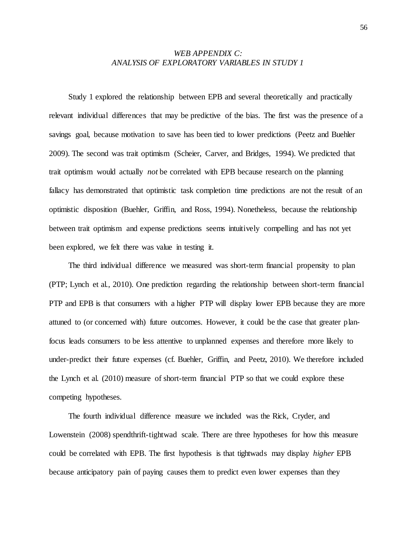# *WEB APPENDIX C: ANALYSIS OF EXPLORATORY VARIABLES IN STUDY 1*

Study 1 explored the relationship between EPB and several theoretically and practically relevant individual differences that may be predictive of the bias. The first was the presence of a savings goal, because motivation to save has been tied to lower predictions (Peetz and Buehler 2009). The second was trait optimism (Scheier, Carver, and Bridges, 1994). We predicted that trait optimism would actually *not* be correlated with EPB because research on the planning fallacy has demonstrated that optimistic task completion time predictions are not the result of an optimistic disposition (Buehler, Griffin, and Ross, 1994). Nonetheless, because the relationship between trait optimism and expense predictions seems intuitively compelling and has not yet been explored, we felt there was value in testing it.

The third individual difference we measured was short-term financial propensity to plan (PTP; Lynch et al., 2010). One prediction regarding the relationship between short-term financial PTP and EPB is that consumers with a higher PTP will display lower EPB because they are more attuned to (or concerned with) future outcomes. However, it could be the case that greater planfocus leads consumers to be less attentive to unplanned expenses and therefore more likely to under-predict their future expenses (cf. Buehler, Griffin, and Peetz, 2010). We therefore included the Lynch et al. (2010) measure of short-term financial PTP so that we could explore these competing hypotheses.

The fourth individual difference measure we included was the Rick, Cryder, and Lowenstein (2008) spendthrift-tightwad scale. There are three hypotheses for how this measure could be correlated with EPB. The first hypothesis is that tightwads may display *higher* EPB because anticipatory pain of paying causes them to predict even lower expenses than they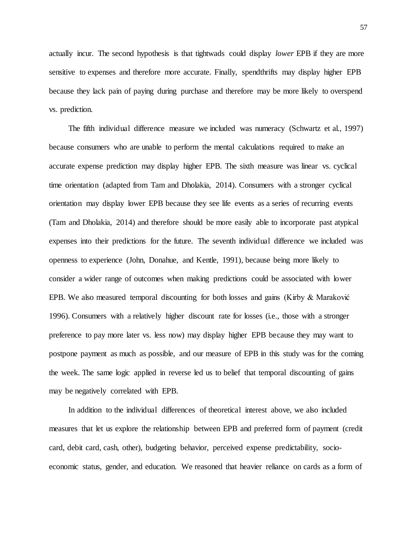actually incur. The second hypothesis is that tightwads could display *lower* EPB if they are more sensitive to expenses and therefore more accurate. Finally, spendthrifts may display higher EPB because they lack pain of paying during purchase and therefore may be more likely to overspend vs. prediction.

The fifth individual difference measure we included was numeracy (Schwartz et al., 1997) because consumers who are unable to perform the mental calculations required to make an accurate expense prediction may display higher EPB. The sixth measure was linear vs. cyclical time orientation (adapted from Tam and Dholakia, 2014). Consumers with a stronger cyclical orientation may display lower EPB because they see life events as a series of recurring events (Tam and Dholakia, 2014) and therefore should be more easily able to incorporate past atypical expenses into their predictions for the future. The seventh individual difference we included was openness to experience (John, Donahue, and Kentle, 1991), because being more likely to consider a wider range of outcomes when making predictions could be associated with lower EPB. We also measured temporal discounting for both losses and gains (Kirby & Maraković 1996). Consumers with a relatively higher discount rate for losses (i.e., those with a stronger preference to pay more later vs. less now) may display higher EPB because they may want to postpone payment as much as possible, and our measure of EPB in this study was for the coming the week. The same logic applied in reverse led us to belief that temporal discounting of gains may be negatively correlated with EPB.

In addition to the individual differences of theoretical interest above, we also included measures that let us explore the relationship between EPB and preferred form of payment (credit card, debit card, cash, other), budgeting behavior, perceived expense predictability, socioeconomic status, gender, and education. We reasoned that heavier reliance on cards as a form of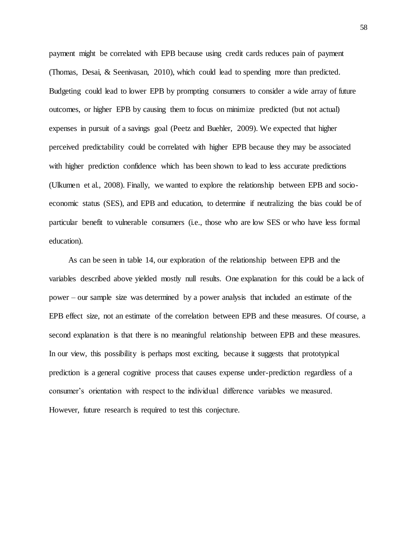payment might be correlated with EPB because using credit cards reduces pain of payment (Thomas, Desai, & Seenivasan, 2010), which could lead to spending more than predicted. Budgeting could lead to lower EPB by prompting consumers to consider a wide array of future outcomes, or higher EPB by causing them to focus on minimize predicted (but not actual) expenses in pursuit of a savings goal (Peetz and Buehler, 2009). We expected that higher perceived predictability could be correlated with higher EPB because they may be associated with higher prediction confidence which has been shown to lead to less accurate predictions (Ulkumen et al., 2008). Finally, we wanted to explore the relationship between EPB and socioeconomic status (SES), and EPB and education, to determine if neutralizing the bias could be of particular benefit to vulnerable consumers (i.e., those who are low SES or who have less formal education).

As can be seen in table 14, our exploration of the relationship between EPB and the variables described above yielded mostly null results. One explanation for this could be a lack of power – our sample size was determined by a power analysis that included an estimate of the EPB effect size, not an estimate of the correlation between EPB and these measures. Of course, a second explanation is that there is no meaningful relationship between EPB and these measures. In our view, this possibility is perhaps most exciting, because it suggests that prototypical prediction is a general cognitive process that causes expense under-prediction regardless of a consumer's orientation with respect to the individual difference variables we measured. However, future research is required to test this conjecture.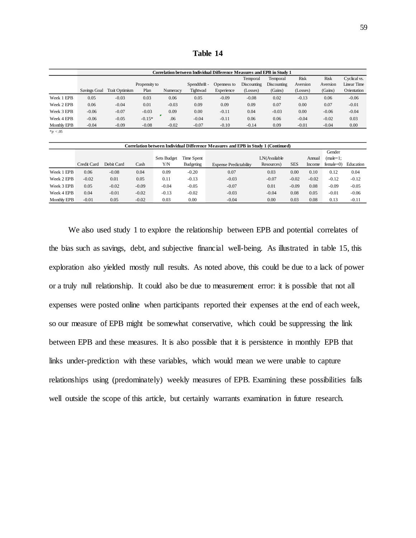**Table 14**

|             |              |                |               |          |               | Correlation between Individual Difference Measures and EPB in Study 1 |                    |                    |             |             |              |
|-------------|--------------|----------------|---------------|----------|---------------|-----------------------------------------------------------------------|--------------------|--------------------|-------------|-------------|--------------|
|             |              |                |               |          |               |                                                                       | Temporal           | Temporal           | <b>Risk</b> | <b>Risk</b> | Cyclical vs. |
|             |              |                | Propensity to |          | Spendthrift - | Openness to                                                           | <b>Discounting</b> | <b>Discounting</b> | Aversion    | Aversion    | Linear Time  |
|             | Savings Goal | Trait Optimism | Plan          | Numeracy | Tightwad      | Experience                                                            | (Losses)           | (Gains)            | (Losses)    | (Gains)     | Orientation  |
| Week 1 EPB  | 0.05         | $-0.03$        | 0.03          | 0.06     | 0.05          | $-0.09$                                                               | $-0.08$            | 0.02               | $-0.13$     | 0.06        | $-0.06$      |
| Week 2 EPB  | 0.06         | $-0.04$        | 0.01          | $-0.03$  | 0.09          | 0.09                                                                  | 0.09               | 0.07               | 0.00        | 0.07        | $-0.01$      |
| Week 3 EPB  | $-0.06$      | $-0.07$        | $-0.03$       | 0.09     | 0.00          | $-0.11$                                                               | 0.04               | $-0.03$            | 0.00        | $-0.06$     | $-0.04$      |
| Week 4 EPB  | $-0.06$      | $-0.05$        | $-0.15*$      | .06      | $-0.04$       | $-0.11$                                                               | 0.06               | 0.06               | $-0.04$     | $-0.02$     | 0.03         |
| Monthly EPB | $-0.04$      | $-0.09$        | $-0.08$       | $-0.02$  | $-0.07$       | $-0.10$                                                               | $-0.14$            | 0.09               | $-0.01$     | $-0.04$     | 0.00         |
| $*p$ < .05  |              |                |               |          |               |                                                                       |                    |                    |             |             |              |

|             |             |            |         |             |            | Correlation between Individual Difference Measures and EPB in Study 1 (Continued) |              |            |         |              |           |
|-------------|-------------|------------|---------|-------------|------------|-----------------------------------------------------------------------------------|--------------|------------|---------|--------------|-----------|
|             |             |            |         |             |            |                                                                                   |              |            |         | Gender       |           |
|             |             |            |         | Sets Budget | Time Spent |                                                                                   | LN(Available |            | Annual  | $(male=1)$ : |           |
|             | Credit Card | Debit Card | Cash    | Y/N         | Budgeting  | <b>Expense Predictability</b>                                                     | Resources)   | <b>SES</b> | Income  | $f$ emale=0) | Education |
| Week 1 EPB  | 0.06        | $-0.08$    | 0.04    | 0.09        | $-0.20$    | 0.07                                                                              | 0.03         | 0.00       | 0.10    | 0.12         | 0.04      |
| Week 2 EPB  | $-0.02$     | 0.01       | 0.05    | 0.11        | $-0.13$    | $-0.03$                                                                           | $-0.07$      | $-0.02$    | $-0.02$ | $-0.12$      | $-0.12$   |
| Week 3 EPB  | 0.05        | $-0.02$    | $-0.09$ | $-0.04$     | $-0.05$    | $-0.07$                                                                           | 0.01         | $-0.09$    | 0.08    | $-0.09$      | $-0.05$   |
| Week 4 EPB  | 0.04        | $-0.01$    | $-0.02$ | $-0.13$     | $-0.02$    | $-0.03$                                                                           | $-0.04$      | 0.08       | 0.05    | $-0.01$      | $-0.06$   |
| Monthly EPB | $-0.01$     | 0.05       | $-0.02$ | 0.03        | 0.00       | $-0.04$                                                                           | 0.00         | 0.03       | 0.08    | 0.13         | $-0.11$   |

We also used study 1 to explore the relationship between EPB and potential correlates of the bias such as savings, debt, and subjective financial well-being. As illustrated in table 15, this exploration also yielded mostly null results. As noted above, this could be due to a lack of power or a truly null relationship. It could also be due to measurement error: it is possible that not all expenses were posted online when participants reported their expenses at the end of each week, so our measure of EPB might be somewhat conservative, which could be suppressing the link between EPB and these measures. It is also possible that it is persistence in monthly EPB that links under-prediction with these variables, which would mean we were unable to capture relationships using (predominately) weekly measures of EPB. Examining these possibilities falls well outside the scope of this article, but certainly warrants examination in future research.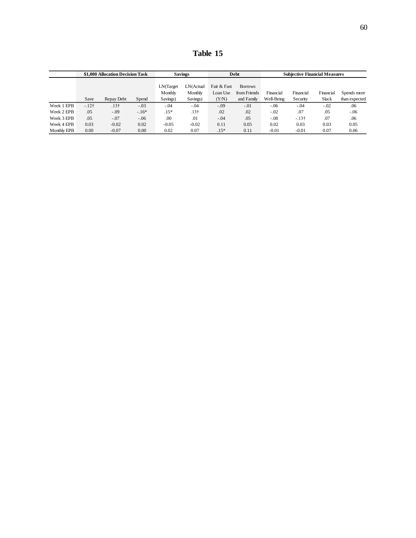**Table 15**

|             |        | \$1,000 Allocation Decision Task |         |                      | <b>Savings</b>       |                         | <b>Debt</b>                    |            | <b>Subjective Financial Measures</b> |           |               |
|-------------|--------|----------------------------------|---------|----------------------|----------------------|-------------------------|--------------------------------|------------|--------------------------------------|-----------|---------------|
|             |        |                                  |         | LN(Target<br>Monthly | LN(Actual<br>Monthly | Fair & Fast<br>Loan Use | <b>Borrows</b><br>from Friends | Financial  | Financial                            | Financial | Spends more   |
|             | Save   | Repay Debt                       | Spend   | Savings)             | Savings)             | (Y/N)                   | and Family                     | Well-Being | Security                             | Slack     | than expected |
| Week 1 EPB  | $-12†$ | .13 <sup>†</sup>                 | $-.03$  | $-.04$               | $-.04$               | $-.09$                  | $-.01$                         | $-.06$     | $-.04$                               | $-.02$    | .06           |
| Week 2 EPB  | .05    | $-.09$                           | $-.16*$ | $.15*$               | .13 <sup>†</sup>     | .02                     | .02                            | $-.02$     | .07                                  | .05       | $-.06$        |
| Week 3 EPB  | .05    | $-.07$                           | $-.06$  | .00                  | .01                  | $-.04$                  | .05                            | $-.08$     | $-13+$                               | .07       | .06           |
| Week 4 EPB  | 0.03   | $-0.02$                          | 0.02    | $-0.05$              | $-0.02$              | 0.11                    | 0.05                           | 0.02       | 0.03                                 | 0.03      | 0.05          |
| Monthly EPB | 0.00   | $-0.07$                          | 0.00    | 0.02                 | 0.07                 | $.15*$                  | 0.11                           | $-0.01$    | $-0.01$                              | 0.07      | 0.06          |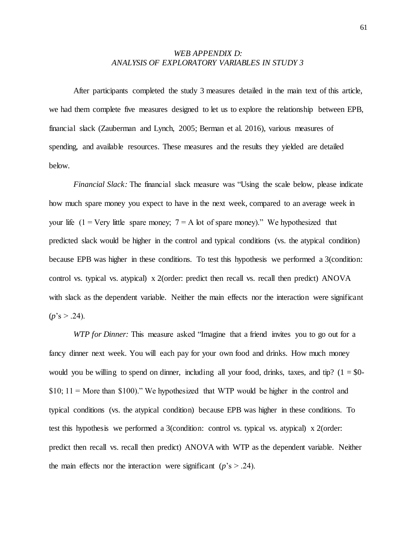# *WEB APPENDIX D: ANALYSIS OF EXPLORATORY VARIABLES IN STUDY 3*

After participants completed the study 3 measures detailed in the main text of this article, we had them complete five measures designed to let us to explore the relationship between EPB, financial slack (Zauberman and Lynch, 2005; Berman et al. 2016), various measures of spending, and available resources. These measures and the results they yielded are detailed below.

*Financial Slack:* The financial slack measure was "Using the scale below, please indicate how much spare money you expect to have in the next week, compared to an average week in your life (1 = Very little spare money;  $7 = A$  lot of spare money)." We hypothesized that predicted slack would be higher in the control and typical conditions (vs. the atypical condition) because EPB was higher in these conditions. To test this hypothesis we performed a 3(condition: control vs. typical vs. atypical) x 2(order: predict then recall vs. recall then predict) ANOVA with slack as the dependent variable. Neither the main effects nor the interaction were significant  $(p's > .24)$ .

*WTP for Dinner:* This measure asked "Imagine that a friend invites you to go out for a fancy dinner next week. You will each pay for your own food and drinks. How much money would you be willing to spend on dinner, including all your food, drinks, taxes, and tip?  $(1 = $0 $10; 11 =$  More than  $$100$ )." We hypothesized that WTP would be higher in the control and typical conditions (vs. the atypical condition) because EPB was higher in these conditions. To test this hypothesis we performed a 3(condition: control vs. typical vs. atypical) x 2(order: predict then recall vs. recall then predict) ANOVA with WTP as the dependent variable. Neither the main effects nor the interaction were significant ( $p$ 's  $> .24$ ).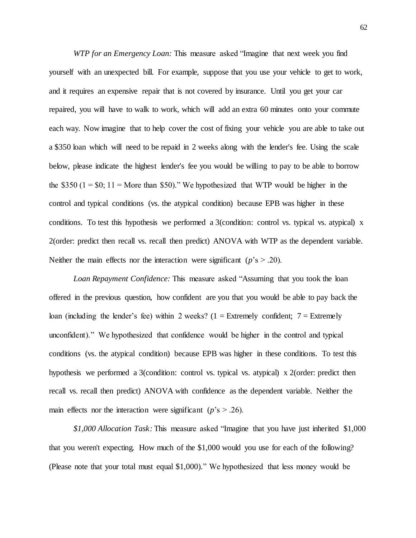*WTP for an Emergency Loan:* This measure asked "Imagine that next week you find yourself with an unexpected bill. For example, suppose that you use your vehicle to get to work, and it requires an expensive repair that is not covered by insurance. Until you get your car repaired, you will have to walk to work, which will add an extra 60 minutes onto your commute each way. Now imagine that to help cover the cost of fixing your vehicle you are able to take out a \$350 loan which will need to be repaid in 2 weeks along with the lender's fee. Using the scale below, please indicate the highest lender's fee you would be willing to pay to be able to borrow the \$350  $(1 = $0; 11 =$  More than \$50)." We hypothesized that WTP would be higher in the control and typical conditions (vs. the atypical condition) because EPB was higher in these conditions. To test this hypothesis we performed a 3(condition: control vs. typical vs. atypical) x 2(order: predict then recall vs. recall then predict) ANOVA with WTP as the dependent variable. Neither the main effects nor the interaction were significant ( $p$ 's  $> .20$ ).

*Loan Repayment Confidence:* This measure asked "Assuming that you took the loan offered in the previous question, how confident are you that you would be able to pay back the loan (including the lender's fee) within 2 weeks?  $(1 =$  Extremely confident;  $7 =$  Extremely unconfident)." We hypothesized that confidence would be higher in the control and typical conditions (vs. the atypical condition) because EPB was higher in these conditions. To test this hypothesis we performed a 3(condition: control vs. typical vs. atypical) x 2(order: predict then recall vs. recall then predict) ANOVA with confidence as the dependent variable. Neither the main effects nor the interaction were significant ( $p$ 's  $> .26$ ).

*\$1,000 Allocation Task:* This measure asked "Imagine that you have just inherited \$1,000 that you weren't expecting. How much of the \$1,000 would you use for each of the following? (Please note that your total must equal \$1,000)." We hypothesized that less money would be